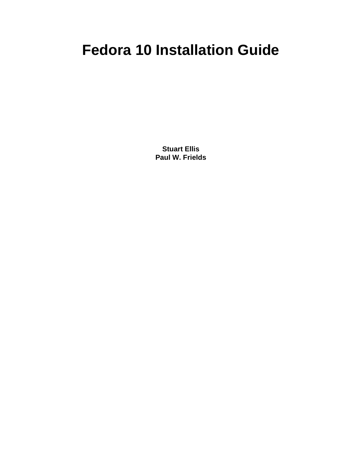# **Fedora 10 Installation Guide**

**Stuart Ellis Paul W. Frields**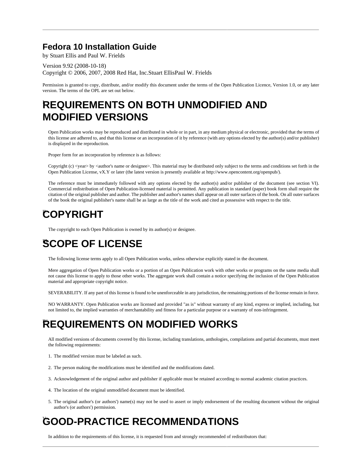#### **Fedora 10 Installation Guide**

by Stuart Ellis and Paul W. Frields

Version 9.92 (2008-10-18) Copyright © 2006, 2007, 2008 Red Hat, Inc.Stuart EllisPaul W. Frields

Permission is granted to copy, distribute, and/or modify this document under the terms of the Open Publication Licence, Version 1.0, or any later version. The terms of the OPL are set out below.

## **REQUIREMENTS ON BOTH UNMODIFIED AND MODIFIED VERSIONS**

Open Publication works may be reproduced and distributed in whole or in part, in any medium physical or electronic, provided that the terms of this license are adhered to, and that this license or an incorporation of it by reference (with any options elected by the author(s) and/or publisher) is displayed in the reproduction.

Proper form for an incorporation by reference is as follows:

Copyright (c) <year> by <author's name or designee>. This material may be distributed only subject to the terms and conditions set forth in the Open Publication License, vX.Y or later (the latest version is presently available at <http://www.opencontent.org/openpub/>).

The reference must be immediately followed with any options elected by the author(s) and/or publisher of the document (see section VI). Commercial redistribution of Open Publication-licensed material is permitted. Any publication in standard (paper) book form shall require the citation of the original publisher and author. The publisher and author's names shall appear on all outer surfaces of the book. On all outer surfaces of the book the original publisher's name shall be as large as the title of the work and cited as possessive with respect to the title.

## II. **COPYRIGHT**

The copyright to each Open Publication is owned by its author(s) or designee.

## **SCOPE OF LICENSE**

The following license terms apply to all Open Publication works, unless otherwise explicitly stated in the document.

Mere aggregation of Open Publication works or a portion of an Open Publication work with other works or programs on the same media shall not cause this license to apply to those other works. The aggregate work shall contain a notice specifying the inclusion of the Open Publication material and appropriate copyright notice.

SEVERABILITY. If any part of this license is found to be unenforceable in any jurisdiction, the remaining portions of the license remain in force.

NO WARRANTY. Open Publication works are licensed and provided "as is" without warranty of any kind, express or implied, including, but not limited to, the implied warranties of merchantability and fitness for a particular purpose or a warranty of non-infringement.

## **REQUIREMENTS ON MODIFIED WORKS**

All modified versions of documents covered by this license, including translations, anthologies, compilations and partial documents, must meet the following requirements:

- 1. The modified version must be labeled as such.
- 2. The person making the modifications must be identified and the modifications dated.
- 3. Acknowledgement of the original author and publisher if applicable must be retained according to normal academic citation practices.
- 4. The location of the original unmodified document must be identified.
- 5. The original author's (or authors') name(s) may not be used to assert or imply endorsement of the resulting document without the original author's (or authors') permission.

## **GOOD-PRACTICE RECOMMENDATIONS**

In addition to the requirements of this license, it is requested from and strongly recommended of redistributors that: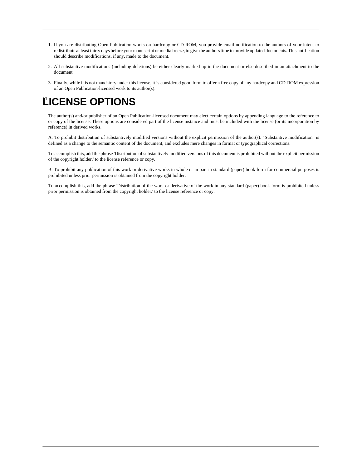- 1. If you are distributing Open Publication works on hardcopy or CD-ROM, you provide email notification to the authors of your intent to redistribute at least thirty days before your manuscript or media freeze, to give the authors time to provide updated documents. This notification should describe modifications, if any, made to the document.
- 2. All substantive modifications (including deletions) be either clearly marked up in the document or else described in an attachment to the document.
- 3. Finally, while it is not mandatory under this license, it is considered good form to offer a free copy of any hardcopy and CD-ROM expression of an Open Publication-licensed work to its author(s).

## VI. **LICENSE OPTIONS**

The author(s) and/or publisher of an Open Publication-licensed document may elect certain options by appending language to the reference to or copy of the license. These options are considered part of the license instance and must be included with the license (or its incorporation by reference) in derived works.

A. To prohibit distribution of substantively modified versions without the explicit permission of the author(s). "Substantive modification" is defined as a change to the semantic content of the document, and excludes mere changes in format or typographical corrections.

To accomplish this, add the phrase 'Distribution of substantively modified versions of this document is prohibited without the explicit permission of the copyright holder.' to the license reference or copy.

B. To prohibit any publication of this work or derivative works in whole or in part in standard (paper) book form for commercial purposes is prohibited unless prior permission is obtained from the copyright holder.

To accomplish this, add the phrase 'Distribution of the work or derivative of the work in any standard (paper) book form is prohibited unless prior permission is obtained from the copyright holder.' to the license reference or copy.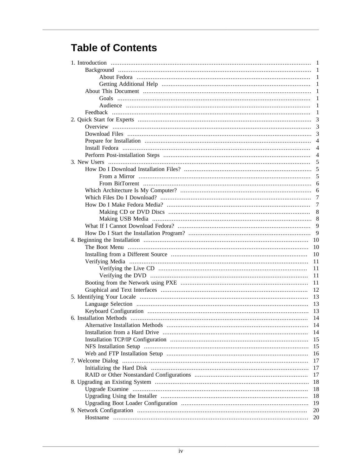# **Table of Contents**

| -1             |
|----------------|
| - 1            |
| 1              |
| 1              |
| -1             |
| 1              |
| 1              |
| 1              |
| 3              |
| 3              |
| 3              |
| $\overline{4}$ |
| $\overline{4}$ |
| $\overline{4}$ |
| 5              |
| 5              |
| 5              |
| 6              |
|                |
|                |
| 7              |
| 7              |
| 8              |
|                |
| 9              |
| 9              |
| 10             |
| 10             |
| 10             |
| 11             |
| 11             |
| 11             |
| 11             |
| 12             |
| 13             |
| 13             |
| 13             |
| 14             |
| 14             |
| 14             |
| 15             |
| 15             |
| 16             |
| 17             |
| 17             |
| 17             |
| 18             |
| 18             |
| 18             |
| 19             |
|                |
| 20             |
| 20             |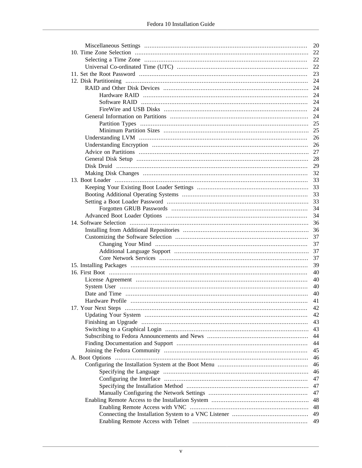| 20 |
|----|
|    |
| 22 |
| 22 |
| 23 |
| 24 |
| 24 |
| 24 |
| 24 |
| 24 |
| 24 |
| 25 |
|    |
| 26 |
| 26 |
|    |
|    |
| 29 |
| 32 |
| 33 |
|    |
| 33 |
|    |
| 34 |
| 34 |
| 36 |
|    |
| 37 |
| 37 |
|    |
| 37 |
| 39 |
| 40 |
| 40 |
| 40 |
| 40 |
| 41 |
|    |
| 42 |
| 43 |
| 43 |
| 44 |
| 44 |
| 45 |
| 46 |
| 46 |
| 46 |
| 47 |
| 47 |
| 47 |
| 48 |
| 48 |
| 49 |
| 49 |
|    |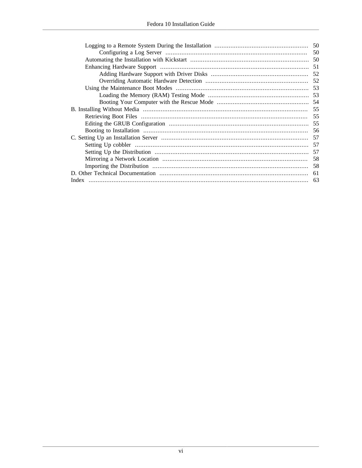|  | 50 |  |
|--|----|--|
|  | 51 |  |
|  |    |  |
|  |    |  |
|  |    |  |
|  |    |  |
|  |    |  |
|  |    |  |
|  |    |  |
|  |    |  |
|  | 56 |  |
|  |    |  |
|  |    |  |
|  |    |  |
|  |    |  |
|  |    |  |
|  |    |  |
|  |    |  |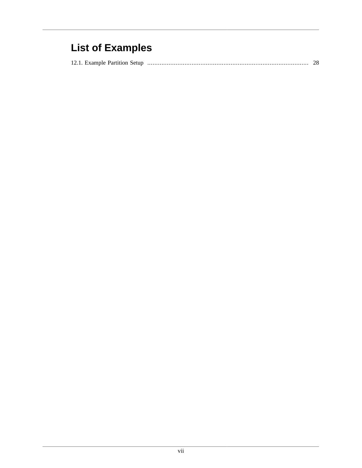# **List of Examples**

|--|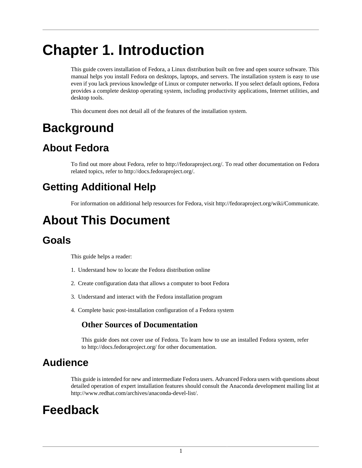# <span id="page-7-0"></span>**Chapter 1. Introduction**

This guide covers installation of Fedora, a Linux distribution built on free and open source software. This manual helps you install Fedora on desktops, laptops, and servers. The installation system is easy to use even if you lack previous knowledge of Linux or computer networks. If you select default options, Fedora provides a complete desktop operating system, including productivity applications, Internet utilities, and desktop tools.

This document does not detail all of the features of the installation system.

# <span id="page-7-1"></span>**Background**

## <span id="page-7-2"></span>**About Fedora**

To find out more about Fedora, refer to<http://fedoraproject.org/>. To read other documentation on Fedora related topics, refer to [http://docs.fedoraproject.org/.](http://docs.fedoraproject.org/)

## <span id="page-7-3"></span>**Getting Additional Help**

For information on additional help resources for Fedora, visit [http://fedoraproject.org/wiki/Communicate.](http://fedoraproject.org/wiki/Communicate)

# <span id="page-7-4"></span>**About This Document**

## <span id="page-7-5"></span>**Goals**

This guide helps a reader:

- 1. Understand how to locate the Fedora distribution online
- 2. Create configuration data that allows a computer to boot Fedora
- 3. Understand and interact with the Fedora installation program
- 4. Complete basic post-installation configuration of a Fedora system

#### **Other Sources of Documentation**

This guide does not cover use of Fedora. To learn how to use an installed Fedora system, refer to<http://docs.fedoraproject.org/>for other documentation.

## <span id="page-7-6"></span>**Audience**

This guide is intended for new and intermediate Fedora users. Advanced Fedora users with questions about detailed operation of expert installation features should consult the Anaconda development mailing list at [http://www.redhat.com/archives/anaconda-devel-list/.](http://www.redhat.com/archives/anaconda-devel-list/)

## <span id="page-7-8"></span><span id="page-7-7"></span>**Feedback**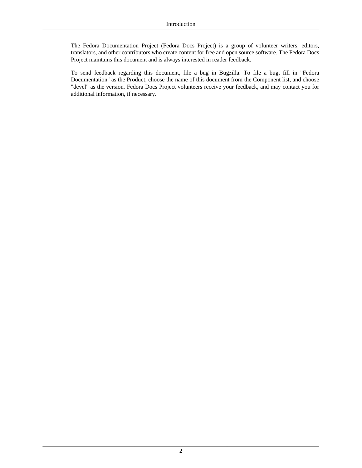The Fedora Documentation Project (Fedora Docs Project) is a group of volunteer writers, editors, translators, and other contributors who create content for free and open source software. The Fedora Docs Project maintains this document and is always interested in reader feedback.

To send feedback regarding this document, file a bug in Bugzilla. To file a bug, fill in "Fedora Documentation" as the Product, choose the name of this document from the Component list, and choose "devel" as the version. Fedora Docs Project volunteers receive your feedback, and may contact you for additional information, if necessary.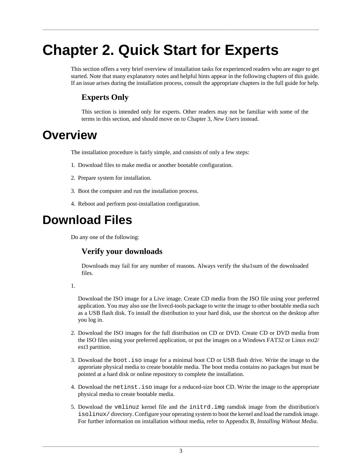# <span id="page-9-0"></span>**Chapter 2. Quick Start for Experts**

This section offers a very brief overview of installation tasks for experienced readers who are eager to get started. Note that many explanatory notes and helpful hints appear in the following chapters of this guide. If an issue arises during the installation process, consult the appropriate chapters in the full guide for help.

#### **Experts Only**

This section is intended only for experts. Other readers may not be familiar with some of the terms in this section, and should move on to [Chapter 3,](#page-11-0) *New Users* instead.

## <span id="page-9-1"></span>**Overview**

The installation procedure is fairly simple, and consists of only a few steps:

- 1. Download files to make media or another bootable configuration.
- 2. Prepare system for installation.
- 3. Boot the computer and run the installation process.
- 4. Reboot and perform post-installation configuration.

## <span id="page-9-2"></span>**Download Files**

Do any one of the following:

#### **Verify your downloads**

Downloads may fail for any number of reasons. Always verify the sha1sum of the downloaded files.

<span id="page-9-3"></span>1.

Download the ISO image for a Live image. Create CD media from the ISO file using your preferred application. You may also use the livecd-tools package to write the image to other bootable media such as a USB flash disk. To install the distribution to your hard disk, use the shortcut on the desktop after you log in.

- 2. Download the ISO images for the full distribution on CD or DVD. Create CD or DVD media from the ISO files using your preferred application, or put the images on a Windows FAT32 or Linux ext2/ ext3 partition.
- 3. Download the boot.iso image for a minimal boot CD or USB flash drive. Write the image to the approriate physical media to create bootable media. The boot media contains no packages but must be pointed at a hard disk or online repository to complete the installation.
- 4. Download the netinst.iso image for a reduced-size boot CD. Write the image to the appropriate physical media to create bootable media.
- 5. Download the vmlinuz kernel file and the initrd.img ramdisk image from the distribution's isolinux/ directory. Configure your operating system to boot the kernel and load the ramdisk image. For further information on installation without media, refer to Appendix B, *[Installing Without Media](#page-61-0)*.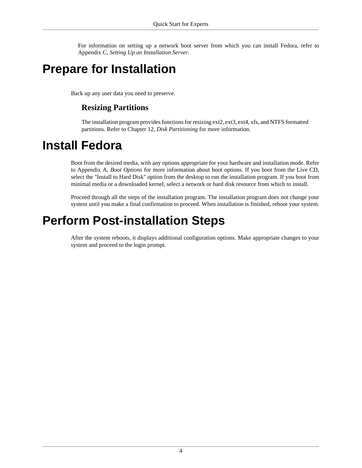For information on setting up a network boot server from which you can install Fedora, refer to Appendix C, *[Setting Up an Installation Server](#page-63-0)*.

# <span id="page-10-0"></span>**Prepare for Installation**

<span id="page-10-3"></span>Back up any user data you need to preserve.

#### **Resizing Partitions**

The installation program provides functions for resizing ext2, ext3, ext4, xfs, and NTFS formatted partitions. Refer to Chapter 12, *[Disk Partitioning](#page-30-0)* for more information.

## <span id="page-10-1"></span>**Install Fedora**

Boot from the desired media, with any options appropriate for your hardware and installation mode. Refer to [Appendix A,](#page-52-0) *Boot Options* for more information about boot options. If you boot from the Live CD, select the "Install to Hard Disk" option from the desktop to run the installation program. If you boot from minimal media or a downloaded kernel, select a network or hard disk resource from which to install.

Proceed through all the steps of the installation program. The installation program does not change your system until you make a final confirmation to proceed. When installation is finished, reboot your system.

## <span id="page-10-2"></span>**Perform Post-installation Steps**

After the system reboots, it displays additional configuration options. Make appropriate changes to your system and proceed to the login prompt.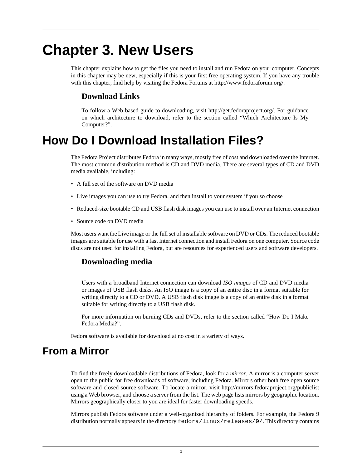# <span id="page-11-0"></span>**Chapter 3. New Users**

This chapter explains how to get the files you need to install and run Fedora on your computer. Concepts in this chapter may be new, especially if this is your first free operating system. If you have any trouble with this chapter, find help by visiting the Fedora Forums at <http://www.fedoraforum.org/>.

#### **Download Links**

To follow a Web based guide to downloading, visit <http://get.fedoraproject.org/>. For guidance on which architecture to download, refer to [the section called "Which Architecture Is My](#page-12-1) [Computer?".](#page-12-1)

## <span id="page-11-1"></span>**How Do I Download Installation Files?**

The Fedora Project distributes Fedora in many ways, mostly free of cost and downloaded over the Internet. The most common distribution method is CD and DVD media. There are several types of CD and DVD media available, including:

- A full set of the software on DVD media
- Live images you can use to try Fedora, and then install to your system if you so choose
- Reduced-size bootable CD and USB flash disk images you can use to install over an Internet connection
- Source code on DVD media

Most users want the Live image or the full set of installable software on DVD or CDs. The reduced bootable images are suitable for use with a fast Internet connection and install Fedora on one computer. Source code discs are not used for installing Fedora, but are resources for experienced users and software developers.

#### <span id="page-11-6"></span><span id="page-11-4"></span><span id="page-11-3"></span>**Downloading media**

Users with a broadband Internet connection can download *ISO images* of CD and DVD media or images of USB flash disks. An ISO image is a copy of an entire disc in a format suitable for writing directly to a CD or DVD. A USB flash disk image is a copy of an entire disk in a format suitable for writing directly to a USB flash disk.

For more information on burning CDs and DVDs, refer to [the section called "How Do I Make](#page-13-1) [Fedora Media?".](#page-13-1)

Fedora software is available for download at no cost in a variety of ways.

## <span id="page-11-2"></span>**From a Mirror**

<span id="page-11-5"></span>To find the freely downloadable distributions of Fedora, look for a *mirror*. A mirror is a computer server open to the public for free downloads of software, including Fedora. Mirrors other both free open source software and closed source software. To locate a mirror, visit <http://mirrors.fedoraproject.org/publiclist> using a Web browser, and choose a server from the list. The web page lists mirrors by geographic location. Mirrors geographically closer to you are ideal for faster downloading speeds.

Mirrors publish Fedora software under a well-organized hierarchy of folders. For example, the Fedora 9 distribution normally appears in the directory fedora/linux/releases/9/. This directory contains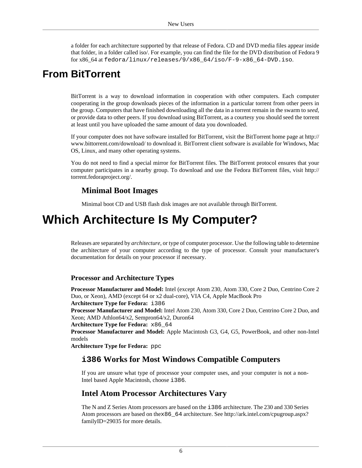a folder for each architecture supported by that release of Fedora. CD and DVD media files appear inside that folder, in a folder called iso/. For example, you can find the file for the DVD distribution of Fedora 9 for x86 $64$  at fedora/linux/releases/9/x86 $64$ /iso/F-9-x86 $64$ -DVD.iso.

### <span id="page-12-0"></span>**From BitTorrent**

<span id="page-12-5"></span><span id="page-12-4"></span>BitTorrent is a way to download information in cooperation with other computers. Each computer cooperating in the group downloads pieces of the information in a particular torrent from other peers in the group. Computers that have finished downloading all the data in a torrent remain in the swarm to *seed*, or provide data to other peers. If you download using BitTorrent, as a courtesy you should seed the torrent at least until you have uploaded the same amount of data you downloaded.

If your computer does not have software installed for BitTorrent, visit the BitTorrent home page at [http://](http://www.bittorrent.com/download/) [www.bittorrent.com/download/](http://www.bittorrent.com/download/) to download it. BitTorrent client software is available for Windows, Mac OS, Linux, and many other operating systems.

You do not need to find a special mirror for BitTorrent files. The BitTorrent protocol ensures that your computer participates in a nearby group. To download and use the Fedora BitTorrent files, visit [http://](http://torrent.fedoraproject.org/) [torrent.fedoraproject.org/](http://torrent.fedoraproject.org/).

#### **Minimal Boot Images**

Minimal boot CD and USB flash disk images are not available through BitTorrent.

## <span id="page-12-1"></span>**Which Architecture Is My Computer?**

<span id="page-12-2"></span>Releases are separated by *architecture*, or type of computer processor. Use the following table to determine the architecture of your computer according to the type of processor. Consult your manufacturer's documentation for details on your processor if necessary.

#### <span id="page-12-3"></span>**Processor and Architecture Types**

**Processor Manufacturer and Model:** Intel (except Atom 230, Atom 330, Core 2 Duo, Centrino Core 2 Duo, or Xeon), AMD (except 64 or x2 dual-core), VIA C4, Apple MacBook Pro **Architecture Type for Fedora:** i386 **Processor Manufacturer and Model:** Intel Atom 230, Atom 330, Core 2 Duo, Centrino Core 2 Duo, and

Xeon; AMD Athlon64/x2, Sempron64/x2, Duron64

**Architecture Type for Fedora:** x86\_64

**Processor Manufacturer and Model:** Apple Macintosh G3, G4, G5, PowerBook, and other non-Intel models

**Architecture Type for Fedora:** ppc

#### **i386 Works for Most Windows Compatible Computers**

If you are unsure what type of processor your computer uses, and your computer is not a non-Intel based Apple Macintosh, choose i386.

#### **Intel Atom Processor Architectures Vary**

The N and Z Series Atom processors are based on the i386 architecture. The 230 and 330 Series Atom processors are based on thex86\_64 architecture. See [http://ark.intel.com/cpugroup.aspx?](http://ark.intel.com/cpugroup.aspx?familyID=29035) [familyID=29035](http://ark.intel.com/cpugroup.aspx?familyID=29035) for more details.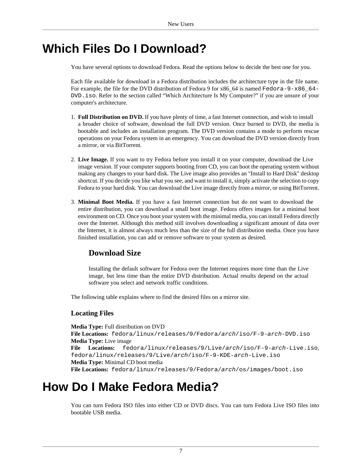## <span id="page-13-0"></span>**Which Files Do I Download?**

You have several options to download Fedora. Read the options below to decide the best one for you.

Each file available for download in a Fedora distribution includes the architecture type in the file name. For example, the file for the DVD distribution of Fedora 9 for x86  $64$  is named Fedora-9-x86  $64$ -DVD.iso. Refer to [the section called "Which Architecture Is My Computer?"](#page-12-1) if you are unsure of your computer's architecture.

- 1. **Full Distribution on DVD.** If you have plenty of time, a fast Internet connection, and wish to install a broader choice of software, download the full DVD version. Once burned to DVD, the media is bootable and includes an installation program. The DVD version contains a mode to perform rescue operations on your Fedora system in an emergency. You can download the DVD version directly from a mirror, or via BitTorrent.
- 2. **Live Image.** If you want to try Fedora before you install it on your computer, download the Live image version. If your computer supports booting from CD, you can boot the operating system without making any changes to your hard disk. The Live image also provides an "Install to Hard Disk" desktop shortcut. If you decide you like what you see, and want to install it, simply activate the selection to copy Fedora to your hard disk. You can download the Live image directly from a mirror, or using BitTorrent.
- 3. **Minimal Boot Media.** If you have a fast Internet connection but do not want to download the entire distribution, you can download a small boot image. Fedora offers images for a minimal boot environment on CD. Once you boot your system with the minimal media, you can install Fedora directly over the Internet. Although this method still involves downloading a significant amount of data over the Internet, it is almost always much less than the size of the full distribution media. Once you have finished installation, you can add or remove software to your system as desired.

#### **Download Size**

Installing the default software for Fedora over the Internet requires more time than the Live image, but less time than the entire DVD distribution. Actual results depend on the actual software you select and network traffic conditions.

The following table explains where to find the desired files on a mirror site.

#### **Locating Files**

**Media Type:** Full distribution on DVD **File Locations:** fedora/linux/releases/9/Fedora/arch/iso/F-9-arch-DVD.iso **Media Type:** Live image **File Locations:** fedora/linux/releases/9/Live/arch/iso/F-9-arch-Live.iso, fedora/linux/releases/9/Live/arch/iso/F-9-KDE-arch-Live.iso **Media Type:** Minimal CD boot media **File Locations:** fedora/linux/releases/9/Fedora/arch/os/images/boot.iso

## <span id="page-13-1"></span>**How Do I Make Fedora Media?**

You can turn Fedora ISO files into either CD or DVD discs. You can turn Fedora Live ISO files into bootable USB media.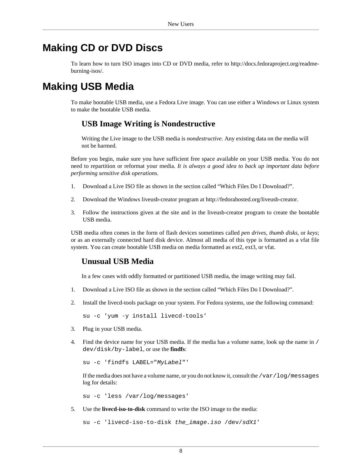### <span id="page-14-0"></span>**Making CD or DVD Discs**

To learn how to turn ISO images into CD or DVD media, refer to [http://docs.fedoraproject.org/readme](http://docs.fedoraproject.org/readme-burning-isos/)[burning-isos/.](http://docs.fedoraproject.org/readme-burning-isos/)

## <span id="page-14-1"></span>**Making USB Media**

To make bootable USB media, use a Fedora Live image. You can use either a Windows or Linux system to make the bootable USB media.

#### **USB Image Writing is Nondestructive**

Writing the Live image to the USB media is *nondestructive*. Any existing data on the media will not be harmed.

Before you begin, make sure you have sufficient free space available on your USB media. You do not need to repartition or reformat your media. *It is always a good idea to back up important data before performing sensitive disk operations.*

- 1. Download a Live ISO file as shown in [the section called "Which Files Do I Download?".](#page-13-0)
- 2. Download the Windows liveusb-creator program at<http://fedorahosted.org/liveusb-creator>.
- 3. Follow the instructions given at the site and in the liveusb-creator program to create the bootable USB media.

USB media often comes in the form of flash devices sometimes called *pen drives*, *thumb disks*, or *keys*; or as an externally connected hard disk device. Almost all media of this type is formatted as a vfat file system. You can create bootable USB media on media formatted as ext2, ext3, or vfat.

#### **Unusual USB Media**

In a few cases with oddly formatted or partitioned USB media, the image writing may fail.

- 1. Download a Live ISO file as shown in [the section called "Which Files Do I Download?".](#page-13-0)
- 2. Install the livecd-tools package on your system. For Fedora systems, use the following command:

su -c 'yum -y install livecd-tools'

- 3. Plug in your USB media.
- 4. Find the device name for your USB media. If the media has a volume name, look up the name in / dev/disk/by-label, or use the **findfs**:

```
su -c 'findfs LABEL="MyLabel"'
```
If the media does not have a volume name, or you do not know it, consult the  $/\text{var}/\text{log/messages}$ log for details:

su -c 'less /var/log/messages'

5. Use the **livecd-iso-to-disk** command to write the ISO image to the media:

su -c 'livecd-iso-to-disk the\_image.iso /dev/sdX1'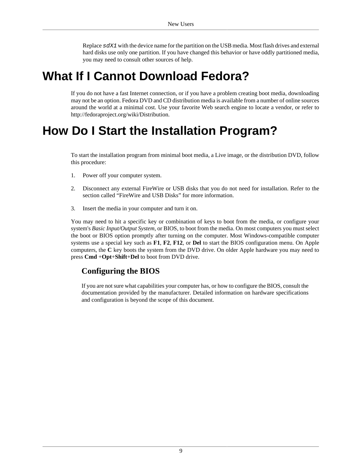Replace sdX1 with the device name for the partition on the USB media. Most flash drives and external hard disks use only one partition. If you have changed this behavior or have oddly partitioned media, you may need to consult other sources of help.

## <span id="page-15-0"></span>**What If I Cannot Download Fedora?**

If you do not have a fast Internet connection, or if you have a problem creating boot media, downloading may not be an option. Fedora DVD and CD distribution media is available from a number of online sources around the world at a minimal cost. Use your favorite Web search engine to locate a vendor, or refer to [http://fedoraproject.org/wiki/Distribution.](http://fedoraproject.org/wiki/Distribution)

## <span id="page-15-1"></span>**How Do I Start the Installation Program?**

<span id="page-15-4"></span><span id="page-15-3"></span><span id="page-15-2"></span>To start the installation program from minimal boot media, a Live image, or the distribution DVD, follow this procedure:

- 1. Power off your computer system.
- 2. Disconnect any external FireWire or USB disks that you do not need for installation. Refer to [the](#page-30-4) [section called "FireWire and USB Disks"](#page-30-4) for more information.
- 3. Insert the media in your computer and turn it on.

You may need to hit a specific key or combination of keys to boot from the media, or configure your system's *Basic Input/Output System*, or BIOS, to boot from the media. On most computers you must select the boot or BIOS option promptly after turning on the computer. Most Windows-compatible computer systems use a special key such as **F1**, **F2**, **F12**, or **Del** to start the BIOS configuration menu. On Apple computers, the **C** key boots the system from the DVD drive. On older Apple hardware you may need to press **Cmd** +**Opt**+**Shift**+**Del** to boot from DVD drive.

#### **Configuring the BIOS**

If you are not sure what capabilities your computer has, or how to configure the BIOS, consult the documentation provided by the manufacturer. Detailed information on hardware specifications and configuration is beyond the scope of this document.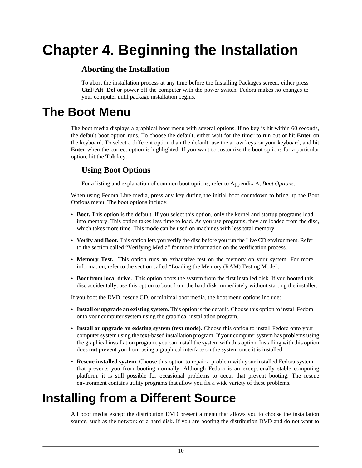# <span id="page-16-0"></span>**Chapter 4. Beginning the Installation**

#### **Aborting the Installation**

To abort the installation process at any time before the Installing Packages screen, either press **Ctrl**+**Alt**+**Del** or power off the computer with the power switch. Fedora makes no changes to your computer until package installation begins.

## <span id="page-16-1"></span>**The Boot Menu**

The boot media displays a graphical boot menu with several options. If no key is hit within 60 seconds, the default boot option runs. To choose the default, either wait for the timer to run out or hit **Enter** on the keyboard. To select a different option than the default, use the arrow keys on your keyboard, and hit **Enter** when the correct option is highlighted. If you want to customize the boot options for a particular option, hit the **Tab** key.

#### **Using Boot Options**

For a listing and explanation of common boot options, refer to [Appendix A,](#page-52-0) *Boot Options*.

When using Fedora Live media, press any key during the initial boot countdown to bring up the Boot Options menu. The boot options include:

- **Boot.** This option is the default. If you select this option, only the kernel and startup programs load into memory. This option takes less time to load. As you use programs, they are loaded from the disc, which takes more time. This mode can be used on machines with less total memory.
- **Verify and Boot.** This option lets you verify the disc before you run the Live CD environment. Refer to [the section called "Verifying Media"](#page-17-0) for more information on the verification process.
- **Memory Test.** This option runs an exhaustive test on the memory on your system. For more information, refer to [the section called "Loading the Memory \(RAM\) Testing Mode".](#page-59-1)
- **Boot from local drive.** This option boots the system from the first installed disk. If you booted this disc accidentally, use this option to boot from the hard disk immediately without starting the installer.

If you boot the DVD, rescue CD, or minimal boot media, the boot menu options include:

- **Install or upgrade an existing system.** This option is the default. Choose this option to install Fedora onto your computer system using the graphical installation program.
- **Install or upgrade an existing system (text mode).** Choose this option to install Fedora onto your computer system using the text-based installation program. If your computer system has problems using the graphical installation program, you can install the system with this option. Installing with this option does **not** prevent you from using a graphical interface on the system once it is installed.
- **Rescue installed system.** Choose this option to repair a problem with your installed Fedora system that prevents you from booting normally. Although Fedora is an exceptionally stable computing platform, it is still possible for occasional problems to occur that prevent booting. The rescue environment contains utility programs that allow you fix a wide variety of these problems.

# <span id="page-16-2"></span>**Installing from a Different Source**

All boot media except the distribution DVD present a menu that allows you to choose the installation source, such as the network or a hard disk. If you are booting the distribution DVD and do not want to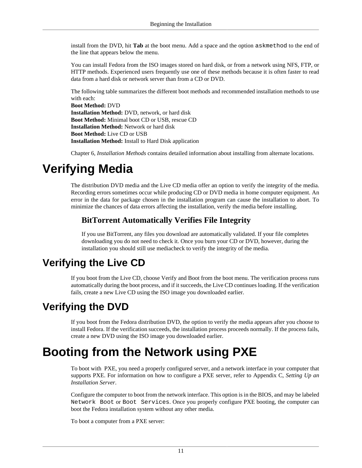install from the DVD, hit **Tab** at the boot menu. Add a space and the option askmethod to the end of the line that appears below the menu.

You can install Fedora from the ISO images stored on hard disk, or from a network using NFS, FTP, or HTTP methods. Experienced users frequently use one of these methods because it is often faster to read data from a hard disk or network server than from a CD or DVD.

The following table summarizes the different boot methods and recommended installation methods to use with each:

**Boot Method:** DVD **Installation Method:** DVD, network, or hard disk **Boot Method:** Minimal boot CD or USB, rescue CD **Installation Method:** Network or hard disk **Boot Method:** Live CD or USB **Installation Method:** Install to Hard Disk application

Chapter 6, *[Installation Methods](#page-20-0)* contains detailed information about installing from alternate locations.

# <span id="page-17-0"></span>**Verifying Media**

The distribution DVD media and the Live CD media offer an option to verify the integrity of the media. Recording errors sometimes occur while producing CD or DVD media in home computer equipment. An error in the data for package chosen in the installation program can cause the installation to abort. To minimize the chances of data errors affecting the installation, verify the media before installing.

#### **BitTorrent Automatically Verifies File Integrity**

If you use BitTorrent, any files you download are automatically validated. If your file completes downloading you do not need to check it. Once you burn your CD or DVD, however, during the installation you should still use mediacheck to verify the integrity of the media.

## <span id="page-17-1"></span>**Verifying the Live CD**

If you boot from the Live CD, choose Verify and Boot from the boot menu. The verification process runs automatically during the boot process, and if it succeeds, the Live CD continues loading. If the verification fails, create a new Live CD using the ISO image you downloaded earlier.

## <span id="page-17-2"></span>**Verifying the DVD**

If you boot from the Fedora distribution DVD, the option to verify the media appears after you choose to install Fedora. If the verification succeeds, the installation process proceeds normally. If the process fails, create a new DVD using the ISO image you downloaded earlier.

# <span id="page-17-3"></span>**Booting from the Network using PXE**

<span id="page-17-4"></span>To boot with PXE, you need a properly configured server, and a network interface in your computer that supports PXE. For information on how to configure a PXE server, refer to Appendix C, *[Setting Up an](#page-63-0) [Installation Server](#page-63-0)*.

Configure the computer to boot from the network interface. This option is in the BIOS, and may be labeled Network Boot or Boot Services. Once you properly configure PXE booting, the computer can boot the Fedora installation system without any other media.

To boot a computer from a PXE server: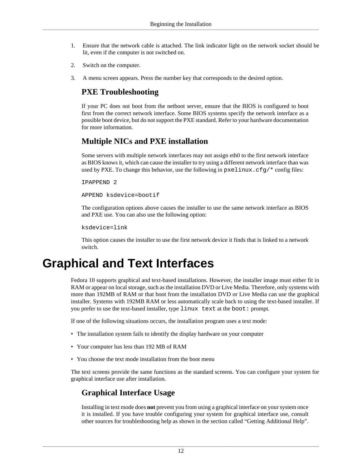- 1. Ensure that the network cable is attached. The link indicator light on the network socket should be lit, even if the computer is not switched on.
- 2. Switch on the computer.
- 3. A menu screen appears. Press the number key that corresponds to the desired option.

#### **PXE Troubleshooting**

If your PC does not boot from the netboot server, ensure that the BIOS is configured to boot first from the correct network interface. Some BIOS systems specify the network interface as a possible boot device, but do not support the PXE standard. Refer to your hardware documentation for more information.

#### **Multiple NICs and PXE installation**

Some servers with multiple network interfaces may not assign eth0 to the first network interface as BIOS knows it, which can cause the installer to try using a different network interface than was used by PXE. To change this behavior, use the following in  $p \times \text{elimux.cfq}$  \* config files:

IPAPPEND 2

APPEND ksdevice=bootif

The configuration options above causes the installer to use the same network interface as BIOS and PXE use. You can also use the following option:

ksdevice=link

This option causes the installer to use the first network device it finds that is linked to a network switch.

## <span id="page-18-0"></span>**Graphical and Text Interfaces**

Fedora 10 supports graphical and text-based installations. However, the installer image must either fit in RAM or appear on local storage, such as the installation DVD or Live Media. Therefore, only systems with more than 192MB of RAM or that boot from the installation DVD or Live Media can use the graphical installer. Systems with 192MB RAM or less automatically scale back to using the text-based installer. If you prefer to use the text-based installer, type linux text at the boot: prompt.

If one of the following situations occurs, the installation program uses a text mode:

- The installation system fails to identify the display hardware on your computer
- Your computer has less than 192 MB of RAM
- You choose the text mode installation from the boot menu

The text screens provide the same functions as the standard screens. You can configure your system for graphical interface use after installation.

#### **Graphical Interface Usage**

Installing in text mode does **not** prevent you from using a graphical interface on your system once it is installed. If you have trouble configuring your system for graphical interface use, consult other sources for troubleshooting help as shown in [the section called "Getting Additional Help".](#page-7-3)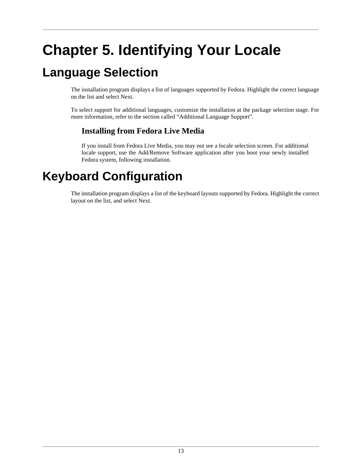# <span id="page-19-0"></span>**Chapter 5. Identifying Your Locale**

# <span id="page-19-1"></span>**Language Selection**

The installation program displays a list of languages supported by Fedora. Highlight the correct language on the list and select Next.

To select support for additional languages, customize the installation at the package selection stage. For more information, refer to [the section called "Additional Language Support".](#page-43-2)

#### **Installing from Fedora Live Media**

If you install from Fedora Live Media, you may not see a locale selection screen. For additional locale support, use the Add/Remove Software application after you boot your newly installed Fedora system, following installation.

# <span id="page-19-2"></span>**Keyboard Configuration**

The installation program displays a list of the keyboard layouts supported by Fedora. Highlight the correct layout on the list, and select Next.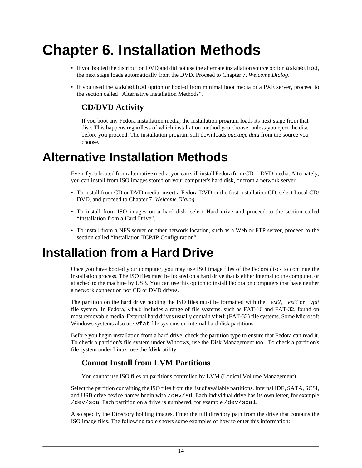# <span id="page-20-0"></span>**Chapter 6. Installation Methods**

- If you booted the distribution DVD and did not use the alternate installation source option askmethod, the next stage loads automatically from the DVD. Proceed to Chapter 7, *[Welcome Dialog](#page-23-0)*.
- If you used the askmethod option or booted from minimal boot media or a PXE server, proceed to [the section called "Alternative Installation Methods".](#page-20-1)

#### **CD/DVD Activity**

If you boot any Fedora installation media, the installation program loads its next stage from that disc. This happens regardless of which installation method you choose, unless you eject the disc before you proceed. The installation program still downloads *package data* from the source you choose.

## <span id="page-20-1"></span>**Alternative Installation Methods**

Even if you booted from alternative media, you can still install Fedora from CD or DVD media. Alternately, you can install from ISO images stored on your computer's hard disk, or from a network server.

- To install from CD or DVD media, insert a Fedora DVD or the first installation CD, select Local CD/ DVD, and proceed to Chapter 7, *[Welcome Dialog](#page-23-0)*.
- To install from ISO images on a hard disk, select Hard drive and proceed to [the section called](#page-20-2) ["Installation from a Hard Drive".](#page-20-2)
- To install from a NFS server or other network location, such as a Web or FTP server, proceed to [the](#page-21-0) [section called "Installation TCP/IP Configuration"](#page-21-0).

# <span id="page-20-2"></span>**Installation from a Hard Drive**

Once you have booted your computer, you may use ISO image files of the Fedora discs to continue the installation process. The ISO files must be located on a hard drive that is either internal to the computer, or attached to the machine by USB. You can use this option to install Fedora on computers that have neither a network connection nor CD or DVD drives.

The partition on the hard drive holding the ISO files must be formatted with the *ext2*, *ext3* or *vfat* file system. In Fedora, vfat includes a range of file systems, such as FAT-16 and FAT-32, found on most removable media. External hard drives usually contain vfat (FAT-32) file systems. Some Microsoft Windows systems also use vfat file systems on internal hard disk partitions.

Before you begin installation from a hard drive, check the partition type to ensure that Fedora can read it. To check a partition's file system under Windows, use the Disk Management tool. To check a partition's file system under Linux, use the **fdisk** utility.

#### <span id="page-20-5"></span><span id="page-20-4"></span><span id="page-20-3"></span>**Cannot Install from LVM Partitions**

You cannot use ISO files on partitions controlled by LVM (Logical Volume Management).

Select the partition containing the ISO files from the list of available partitions. Internal IDE, SATA, SCSI, and USB drive device names begin with /dev/sd. Each individual drive has its own letter, for example /dev/sda. Each partition on a drive is numbered, for example /dev/sda1.

Also specify the Directory holding images. Enter the full directory path from the drive that contains the ISO image files. The following table shows some examples of how to enter this information: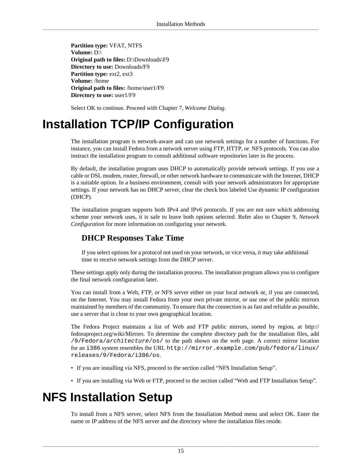**Partition type:** VFAT, NTFS **Volume:** D:\ **Original path to files:** D:\Downloads\F9 **Directory to use:** Downloads/F9 Partition type: ext2, ext3 **Volume:** /home **Original path to files:** /home/user1/F9 **Directory to use:** user1/F9

Select OK to continue. Proceed with Chapter 7, *[Welcome Dialog](#page-23-0)*.

# <span id="page-21-0"></span>**Installation TCP/IP Configuration**

<span id="page-21-2"></span>The installation program is network-aware and can use network settings for a number of functions. For instance, you can install Fedora from a network server using FTP, HTTP, or NFS protocols. You can also instruct the installation program to consult additional software repositories later in the process.

By default, the installation program uses DHCP to automatically provide network settings. If you use a cable or DSL modem, router, firewall, or other network hardware to communicate with the Internet, DHCP is a suitable option. In a business environment, consult with your network administrators for appropriate settings. If your network has no DHCP server, clear the check box labeled Use dynamic IP configuration (DHCP).

The installation program supports both IPv4 and IPv6 protocols. If you are not sure which addressing scheme your network uses, it is safe to leave both options selected. Refer also to [Chapter 9,](#page-26-0) *Network [Configuration](#page-26-0)* for more information on configuring your network.

#### **DHCP Responses Take Time**

If you select options for a protocol not used on your network, or vice versa, it may take additional time to receive network settings from the DHCP server.

These settings apply only during the installation process. The installation program allows you to configure the final network configuration later.

You can install from a Web, FTP, or NFS server either on your local network or, if you are connected, on the Internet. You may install Fedora from your own private mirror, or use one of the public mirrors maintained by members of the community. To ensure that the connection is as fast and reliable as possible, use a server that is close to your own geographical location.

The Fedora Project maintains a list of Web and FTP public mirrors, sorted by region, at [http://](http://fedoraproject.org/wiki/Mirrors) [fedoraproject.org/wiki/Mirrors](http://fedoraproject.org/wiki/Mirrors). To determine the complete directory path for the installation files, add /9/Fedora/architecture/os/ to the path shown on the web page. A correct mirror location for an i386 system resembles the URL http://mirror.example.com/pub/fedora/linux/ releases/9/Fedora/i386/os.

- If you are installing via NFS, proceed to [the section called "NFS Installation Setup".](#page-21-1)
- If you are installing via Web or FTP, proceed to [the section called "Web and FTP Installation Setup".](#page-22-0)

## <span id="page-21-1"></span>**NFS Installation Setup**

To install from a NFS server, select NFS from the Installation Method menu and select OK. Enter the name or IP address of the NFS server and the directory where the installation files reside.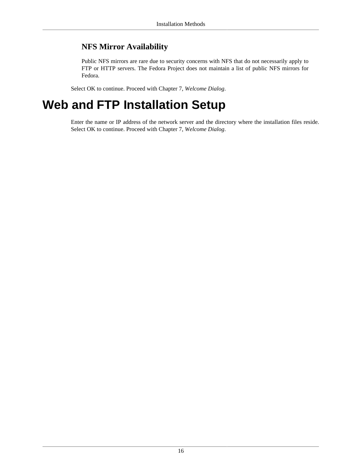#### **NFS Mirror Availability**

Public NFS mirrors are rare due to security concerns with NFS that do not necessarily apply to FTP or HTTP servers. The Fedora Project does not maintain a list of public NFS mirrors for Fedora.

Select OK to continue. Proceed with Chapter 7, *[Welcome Dialog](#page-23-0)*.

## <span id="page-22-0"></span>**Web and FTP Installation Setup**

Enter the name or IP address of the network server and the directory where the installation files reside. Select OK to continue. Proceed with Chapter 7, *[Welcome Dialog](#page-23-0)*.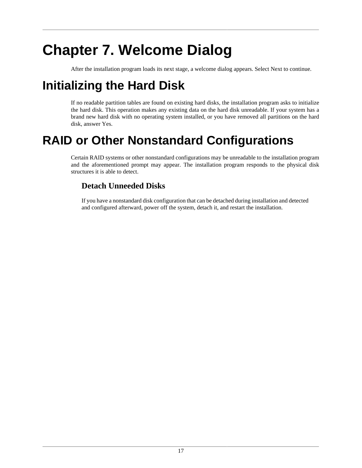# <span id="page-23-0"></span>**Chapter 7. Welcome Dialog**

After the installation program loads its next stage, a welcome dialog appears. Select Next to continue.

# <span id="page-23-1"></span>**Initializing the Hard Disk**

If no readable partition tables are found on existing hard disks, the installation program asks to initialize the hard disk. This operation makes any existing data on the hard disk unreadable. If your system has a brand new hard disk with no operating system installed, or you have removed all partitions on the hard disk, answer Yes.

# <span id="page-23-2"></span>**RAID or Other Nonstandard Configurations**

Certain RAID systems or other nonstandard configurations may be unreadable to the installation program and the aforementioned prompt may appear. The installation program responds to the physical disk structures it is able to detect.

#### **Detach Unneeded Disks**

If you have a nonstandard disk configuration that can be detached during installation and detected and configured afterward, power off the system, detach it, and restart the installation.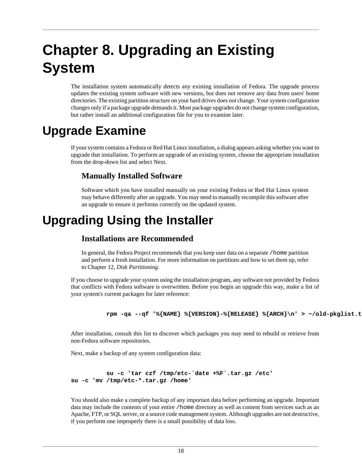# <span id="page-24-0"></span>**Chapter 8. Upgrading an Existing System**

The installation system automatically detects any existing installation of Fedora. The upgrade process updates the existing system software with new versions, but does not remove any data from users' home directories. The existing partition structure on your hard drives does not change. Your system configuration changes only if a package upgrade demands it. Most package upgrades do not change system configuration, but rather install an additional configuration file for you to examine later.

# <span id="page-24-1"></span>**Upgrade Examine**

If your system contains a Fedora or Red Hat Linux installation, a dialog appears asking whether you want to upgrade that installation. To perform an upgrade of an existing system, choose the appropriate installation from the drop-down list and select Next.

#### **Manually Installed Software**

Software which you have installed manually on your existing Fedora or Red Hat Linux system may behave differently after an upgrade. You may need to manually recompile this software after an upgrade to ensure it performs correctly on the updated system.

# <span id="page-24-2"></span>**Upgrading Using the Installer**

#### **Installations are Recommended**

In general, the Fedora Project recommends that you keep user data on a separate /home partition and perform a fresh installation. For more information on partitions and how to set them up, refer to Chapter 12, *[Disk Partitioning](#page-30-0)*.

If you choose to upgrade your system using the installation program, any software not provided by Fedora that conflicts with Fedora software is overwritten. Before you begin an upgrade this way, make a list of your system's current packages for later reference:

```
 rpm -qa --qf '%{NAME} %{VERSION}-%{RELEASE} %{ARCH}\n' > ~/old-pkglist.txt'
```
After installation, consult this list to discover which packages you may need to rebuild or retrieve from non-Fedora software repositories.

Next, make a backup of any system configuration data:

```
 su -c 'tar czf /tmp/etc-`date +%F`.tar.gz /etc'
su -c 'mv /tmp/etc-*.tar.gz /home'
```
You should also make a complete backup of any important data before performing an upgrade. Important data may include the contents of your entire /home directory as well as content from services such as an Apache, FTP, or SQL server, or a source code management system. Although upgrades are not destructive, if you perform one improperly there is a small possibility of data loss.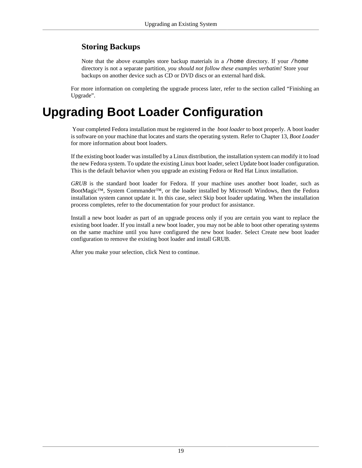#### **Storing Backups**

Note that the above examples store backup materials in a /home directory. If your /home directory is not a separate partition, *you should not follow these examples verbatim!* Store your backups on another device such as CD or DVD discs or an external hard disk.

For more information on completing the upgrade process later, refer to [the section called "Finishing an](#page-49-0) [Upgrade".](#page-49-0)

## <span id="page-25-0"></span>**Upgrading Boot Loader Configuration**

<span id="page-25-2"></span><span id="page-25-1"></span> Your completed Fedora installation must be registered in the *boot loader* to boot properly. A boot loader is software on your machine that locates and starts the operating system. Refer to Chapter 13, *[Boot Loader](#page-39-0)* for more information about boot loaders.

If the existing boot loader was installed by a Linux distribution, the installation system can modify it to load the new Fedora system. To update the existing Linux boot loader, select Update boot loader configuration. This is the default behavior when you upgrade an existing Fedora or Red Hat Linux installation.

*GRUB* is the standard boot loader for Fedora. If your machine uses another boot loader, such as BootMagic™, System Commander™, or the loader installed by Microsoft Windows, then the Fedora installation system cannot update it. In this case, select Skip boot loader updating. When the installation process completes, refer to the documentation for your product for assistance.

Install a new boot loader as part of an upgrade process only if you are certain you want to replace the existing boot loader. If you install a new boot loader, you may not be able to boot other operating systems on the same machine until you have configured the new boot loader. Select Create new boot loader configuration to remove the existing boot loader and install GRUB.

After you make your selection, click Next to continue.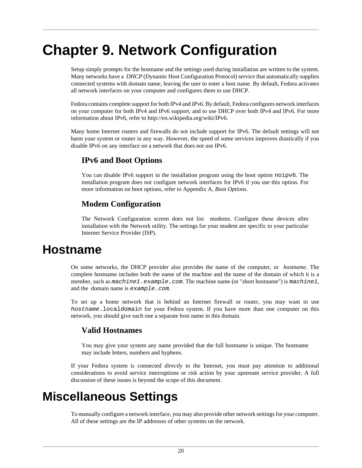# <span id="page-26-0"></span>**Chapter 9. Network Configuration**

<span id="page-26-3"></span>Setup simply prompts for the hostname and the settings used during installation are written to the system. Many networks have a *DHCP* (Dynamic Host Configuration Protocol) service that automatically supplies connected systems with domain name, leaving the user to enter a host name. By default, Fedora activates all network interfaces on your computer and configures them to use DHCP.

Fedora contains complete support for both *IPv4* and *IPv6*. By default, Fedora configures network interfaces on your computer for both IPv4 and IPv6 support, and to use DHCP over both IPv4 and IPv6. For more information about IPv6, refer to <http://en.wikipedia.org/wiki/IPv6>.

Many home Internet routers and firewalls do not include support for IPv6. The default settings will not harm your system or router in any way. However, the speed of some services improves drastically if you disable IPv6 on any interface on a network that does not use IPv6.

#### **IPv6 and Boot Options**

You can disable IPv6 support in the installation program using the boot option noipv6. The installation program does not configure network interfaces for IPv6 if you use this option. For more information on boot options, refer to [Appendix A,](#page-52-0) *Boot Options*.

#### **Modem Configuration**

<span id="page-26-6"></span><span id="page-26-5"></span>The Network Configuration screen does not list modems. Configure these devices after installation with the Network utility. The settings for your modem are specific to your particular Internet Service Provider (ISP).

## <span id="page-26-1"></span>**Hostname**

On some networks, the DHCP provider also provides the name of the computer, or *hostname*. The complete hostname includes both the name of the machine and the name of the domain of which it is a member, such as machine 1. example.com. The machine name (or "short hostname") is machine 1, and the domain name is example.com.

<span id="page-26-4"></span>To set up a home network that is behind an Internet firewall or router, you may want to use hostname.localdomain for your Fedora system. If you have more than one computer on this network, you should give each one a separate host name in this domain.

#### **Valid Hostnames**

You may give your system any name provided that the full hostname is unique. The hostname may include letters, numbers and hyphens.

If your Fedora system is connected *directly* to the Internet, you must pay attention to additional considerations to avoid service interruptions or risk action by your upstream service provider. A full discussion of these issues is beyond the scope of this document.

## <span id="page-26-2"></span>**Miscellaneous Settings**

To manually configure a network interface, you may also provide other network settings for your computer. All of these settings are the IP addresses of other systems on the network.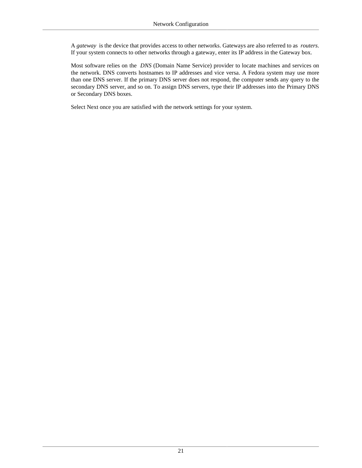<span id="page-27-1"></span>A *gateway* is the device that provides access to other networks. Gateways are also referred to as *routers*. If your system connects to other networks through a gateway, enter its IP address in the Gateway box.

<span id="page-27-0"></span>Most software relies on the *DNS* (Domain Name Service) provider to locate machines and services on the network. DNS converts hostnames to IP addresses and vice versa. A Fedora system may use more than one DNS server. If the primary DNS server does not respond, the computer sends any query to the secondary DNS server, and so on. To assign DNS servers, type their IP addresses into the Primary DNS or Secondary DNS boxes.

Select Next once you are satisfied with the network settings for your system.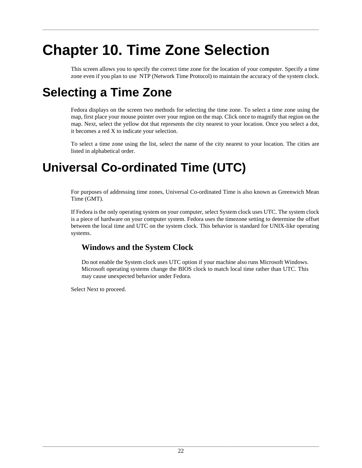# <span id="page-28-0"></span>**Chapter 10. Time Zone Selection**

<span id="page-28-3"></span>This screen allows you to specify the correct time zone for the location of your computer. Specify a time zone even if you plan to use NTP (Network Time Protocol) to maintain the accuracy of the system clock.

# <span id="page-28-1"></span>**Selecting a Time Zone**

Fedora displays on the screen two methods for selecting the time zone. To select a time zone using the map, first place your mouse pointer over your region on the map. Click once to magnify that region on the map. Next, select the yellow dot that represents the city nearest to your location. Once you select a dot, it becomes a red X to indicate your selection.

To select a time zone using the list, select the name of the city nearest to your location. The cities are listed in alphabetical order.

## <span id="page-28-2"></span>**Universal Co-ordinated Time (UTC)**

<span id="page-28-4"></span>For purposes of addressing time zones, Universal Co-ordinated Time is also known as Greenwich Mean Time (GMT).

If Fedora is the only operating system on your computer, select System clock uses UTC. The system clock is a piece of hardware on your computer system. Fedora uses the timezone setting to determine the offset between the local time and UTC on the system clock. This behavior is standard for UNIX-like operating systems.

#### **Windows and the System Clock**

Do not enable the System clock uses UTC option if your machine also runs Microsoft Windows. Microsoft operating systems change the BIOS clock to match local time rather than UTC. This may cause unexpected behavior under Fedora.

Select Next to proceed.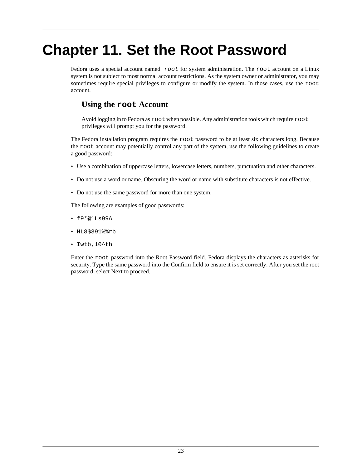# <span id="page-29-0"></span>**Chapter 11. Set the Root Password**

Fedora uses a special account named root for system administration. The root account on a Linux system is not subject to most normal account restrictions. As the system owner or administrator, you may sometimes require special privileges to configure or modify the system. In those cases, use the root account.

#### <span id="page-29-1"></span>**Using the root Account**

Avoid logging in to Fedora as root when possible. Any administration tools which require root privileges will prompt you for the password.

The Fedora installation program requires the root password to be at least six characters long. Because the root account may potentially control any part of the system, use the following guidelines to create a good password:

- Use a combination of uppercase letters, lowercase letters, numbers, punctuation and other characters.
- Do not use a word or name. Obscuring the word or name with substitute characters is not effective.
- Do not use the same password for more than one system.

The following are examples of good passwords:

- f9\*@1Ls99A
- HL8\$391%%rb
- Iwtb,10^th

Enter the root password into the Root Password field. Fedora displays the characters as asterisks for security. Type the same password into the Confirm field to ensure it is set correctly. After you set the root password, select Next to proceed.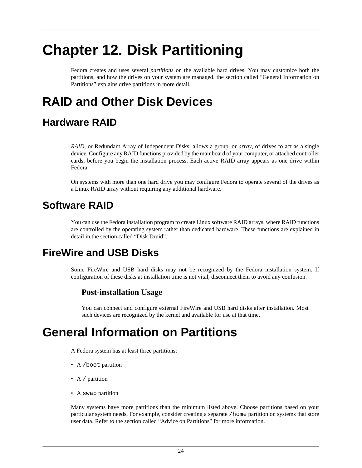# <span id="page-30-0"></span>**Chapter 12. Disk Partitioning**

Fedora creates and uses several *partitions* on the available hard drives. You may customize both the partitions, and how the drives on your system are managed. [the section called "General Information on](#page-30-5) [Partitions"](#page-30-5) explains drive partitions in more detail.

# <span id="page-30-1"></span>**RAID and Other Disk Devices**

## <span id="page-30-2"></span>**Hardware RAID**

<span id="page-30-6"></span>*RAID*, or Redundant Array of Independent Disks, allows a group, or *array*, of drives to act as a single device. Configure any RAID functions provided by the mainboard of your computer, or attached controller cards, before you begin the installation process. Each active RAID array appears as one drive within Fedora.

On systems with more than one hard drive you may configure Fedora to operate several of the drives as a Linux RAID array without requiring any additional hardware.

## <span id="page-30-3"></span>**Software RAID**

You can use the Fedora installation program to create Linux software RAID arrays, where RAID functions are controlled by the operating system rather than dedicated hardware. These functions are explained in detail in [the section called "Disk Druid".](#page-35-0)

## <span id="page-30-4"></span>**FireWire and USB Disks**

Some FireWire and USB hard disks may not be recognized by the Fedora installation system. If configuration of these disks at installation time is not vital, disconnect them to avoid any confusion.

#### **Post-installation Usage**

You can connect and configure external FireWire and USB hard disks after installation. Most such devices are recognized by the kernel and available for use at that time.

## <span id="page-30-5"></span>**General Information on Partitions**

A Fedora system has at least three partitions:

- A /boot partition
- A / partition
- A swap partition

Many systems have more partitions than the minimum listed above. Choose partitions based on your particular system needs. For example, consider creating a separate /home partition on systems that store user data. Refer to [the section called "Advice on Partitions"](#page-33-0) for more information.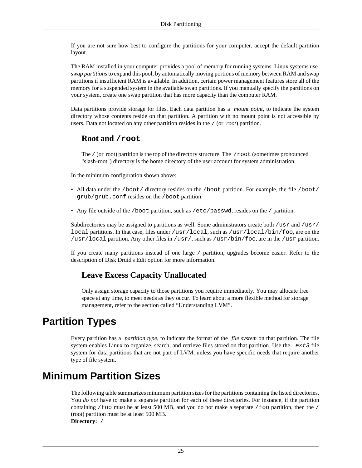If you are not sure how best to configure the partitions for your computer, accept the default partition layout.

<span id="page-31-9"></span>The RAM installed in your computer provides a pool of memory for running systems. Linux systems use *swap partitions* to expand this pool, by automatically moving portions of memory between RAM and swap partitions if insufficient RAM is available. In addition, certain power management features store all of the memory for a suspended system in the available swap partitions. If you manually specify the partitions on your system, create one swap partition that has more capacity than the computer RAM.

Data partitions provide storage for files. Each data partition has a *mount point*, to indicate the system directory whose contents reside on that partition. A partition with no mount point is not accessible by users. Data not located on any other partition resides in the / (or *root*) partition.

#### <span id="page-31-6"></span><span id="page-31-5"></span>**Root and /root**

<span id="page-31-7"></span><span id="page-31-2"></span>The / (or root) partition is the top of the directory structure. The /root (sometimes pronounced "slash-root") directory is the home directory of the user account for system administration.

In the minimum configuration shown above:

- All data under the /boot/ directory resides on the /boot partition. For example, the file /boot/ grub/grub.conf resides on the /boot partition.
- Any file outside of the /boot partition, such as /etc/passwd, resides on the / partition.

Subdirectories may be assigned to partitions as well. Some administrators create both /usr and /usr/ local partitions. In that case, files under /usr/local, such as /usr/local/bin/foo, are on the /usr/local partition. Any other files in /usr/, such as /usr/bin/foo, are in the /usr partition.

If you create many partitions instead of one large / partition, upgrades become easier. Refer to the description of Disk Druid's [Edit option](#page-36-0) for more information.

#### **Leave Excess Capacity Unallocated**

<span id="page-31-4"></span><span id="page-31-3"></span>Only assign storage capacity to those partitions you require immediately. You may allocate free space at any time, to meet needs as they occur. To learn about a more flexible method for storage management, refer to [the section called "Understanding LVM"](#page-32-0).

## <span id="page-31-0"></span>**Partition Types**

<span id="page-31-8"></span>Every partition has a *partition type*, to indicate the format of the *file system* on that partition. The file system enables Linux to organize, search, and retrieve files stored on that partition. Use the  $ext{z}$  file system for data partitions that are not part of LVM, unless you have specific needs that require another type of file system.

### <span id="page-31-1"></span>**Minimum Partition Sizes**

The following table summarizes minimum partition sizes for the partitions containing the listed directories. You *do not* have to make a separate partition for each of these directories. For instance, if the partition containing  $/$  foo must be at least 500 MB, and you do not make a separate  $/$  foo partition, then the  $/$ (root) partition must be at least 500 MB. **Directory:** /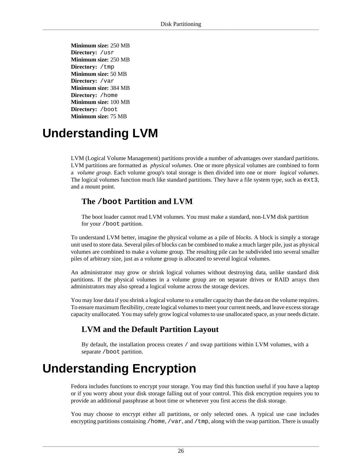**Minimum size:** 250 MB **Directory:** /usr **Minimum size:** 250 MB **Directory:** /tmp **Minimum size:** 50 MB **Directory:** /var **Minimum size:** 384 MB **Directory:** /home **Minimum size:** 100 MB **Directory:** /boot **Minimum size:** 75 MB

## <span id="page-32-0"></span>**Understanding LVM**

<span id="page-32-5"></span><span id="page-32-4"></span>LVM (Logical Volume Management) partitions provide a number of advantages over standard partitions. LVM partitions are formatted as *physical volumes*. One or more physical volumes are combined to form a *volume group*. Each volume group's total storage is then divided into one or more *logical volumes*. The logical volumes function much like standard partitions. They have a file system type, such as ext3, and a mount point.

#### <span id="page-32-3"></span><span id="page-32-2"></span>**The /boot Partition and LVM**

The boot loader cannot read LVM volumes. You must make a standard, non-LVM disk partition for your /boot partition.

To understand LVM better, imagine the physical volume as a pile of *blocks*. A block is simply a storage unit used to store data. Several piles of blocks can be combined to make a much larger pile, just as physical volumes are combined to make a volume group. The resulting pile can be subdivided into several smaller piles of arbitrary size, just as a volume group is allocated to several logical volumes.

An administrator may grow or shrink logical volumes without destroying data, unlike standard disk partitions. If the physical volumes in a volume group are on separate drives or RAID arrays then administrators may also spread a logical volume across the storage devices.

You may lose data if you shrink a logical volume to a smaller capacity than the data on the volume requires. To ensure maximum flexibility, create logical volumes to meet your current needs, and leave excess storage capacity unallocated. You may safely grow logical volumes to use unallocated space, as your needs dictate.

#### **LVM and the Default Partition Layout**

By default, the installation process creates / and swap partitions within LVM volumes, with a separate /boot partition.

# <span id="page-32-1"></span>**Understanding Encryption**

Fedora includes functions to encrypt your storage. You may find this function useful if you have a laptop or if you worry about your disk storage falling out of your control. This disk encryption requires you to provide an additional passphrase at boot time or whenever you first access the disk storage.

You may choose to encrypt either all partitions, or only selected ones. A typical use case includes encrypting partitions containing /home, /var, and /tmp, along with the swap partition. There is usually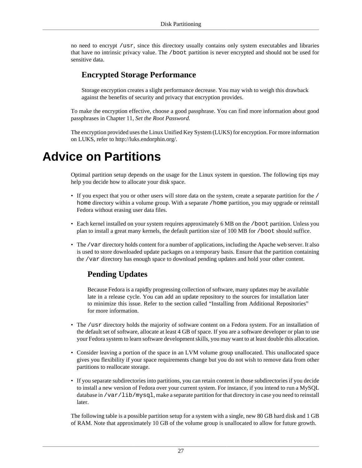no need to encrypt /usr, since this directory usually contains only system executables and libraries that have no intrinsic privacy value. The /boot partition is never encrypted and should not be used for sensitive data.

#### **Encrypted Storage Performance**

Storage encryption creates a slight performance decrease. You may wish to weigh this drawback against the benefits of security and privacy that encryption provides.

To make the encryption effective, choose a good passphrase. You can find more information about good passphrases in Chapter 11, *[Set the Root Password](#page-29-0)*.

The encryption provided uses the Linux Unified Key System (LUKS) for encryption. For more information on LUKS, refer to<http://luks.endorphin.org/>.

## <span id="page-33-0"></span>**Advice on Partitions**

Optimal partition setup depends on the usage for the Linux system in question. The following tips may help you decide how to allocate your disk space.

- If you expect that you or other users will store data on the system, create a separate partition for the / home directory within a volume group. With a separate /home partition, you may upgrade or reinstall Fedora without erasing user data files.
- Each kernel installed on your system requires approximately 6 MB on the /boot partition. Unless you plan to install a great many kernels, the default partition size of 100 MB for /boot should suffice.
- The /var directory holds content for a number of applications, including the Apache web server. It also is used to store downloaded update packages on a temporary basis. Ensure that the partition containing the /var directory has enough space to download pending updates and hold your other content.

#### **Pending Updates**

Because Fedora is a rapidly progressing collection of software, many updates may be available late in a release cycle. You can add an update repository to the sources for installation later to minimize this issue. Refer to [the section called "Installing from Additional Repositories"](#page-42-1) for more information.

- The /usr directory holds the majority of software content on a Fedora system. For an installation of the default set of software, allocate at least 4 GB of space. If you are a software developer or plan to use your Fedora system to learn software development skills, you may want to at least double this allocation.
- Consider leaving a portion of the space in an LVM volume group unallocated. This unallocated space gives you flexibility if your space requirements change but you do not wish to remove data from other partitions to reallocate storage.
- If you separate subdirectories into partitions, you can retain content in those subdirectories if you decide to install a new version of Fedora over your current system. For instance, if you intend to run a MySQL database in /var/lib/mysql, make a separate partition for that directory in case you need to reinstall later.

The following table is a possible partition setup for a system with a single, new 80 GB hard disk and 1 GB of RAM. Note that approximately 10 GB of the volume group is unallocated to allow for future growth.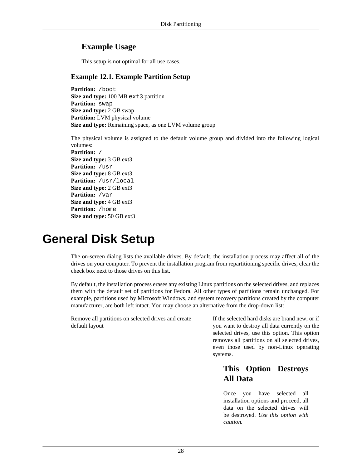#### **Example Usage**

This setup is not optimal for all use cases.

#### <span id="page-34-1"></span>**Example 12.1. Example Partition Setup**

**Partition:** /boot **Size and type:** 100 MB ext3 partition **Partition:** swap **Size and type:** 2 GB swap **Partition:** LVM physical volume **Size and type:** Remaining space, as one LVM volume group

The physical volume is assigned to the default volume group and divided into the following logical volumes:

**Partition:** / **Size and type:** 3 GB ext3 **Partition:** /usr **Size and type:** 8 GB ext3 **Partition:** /usr/local **Size and type:** 2 GB ext3 **Partition:** /var **Size and type:** 4 GB ext3 **Partition:** /home **Size and type:** 50 GB ext3

## <span id="page-34-0"></span>**General Disk Setup**

The on-screen dialog lists the available drives. By default, the installation process may affect all of the drives on your computer. To prevent the installation program from repartitioning specific drives, clear the check box next to those drives on this list.

By default, the installation process erases any existing Linux partitions on the selected drives, and replaces them with the default set of partitions for Fedora. All other types of partitions remain unchanged. For example, partitions used by Microsoft Windows, and system recovery partitions created by the computer manufacturer, are both left intact. You may choose an alternative from the drop-down list:

Remove all partitions on selected drives and create default layout

If the selected hard disks are brand new, or if you want to destroy all data currently on the selected drives, use this option. This option removes all partitions on all selected drives, even those used by non-Linux operating systems.

#### **This Option Destroys All Data**

Once you have selected all installation options and proceed, all data on the selected drives will be destroyed. *Use this option with caution.*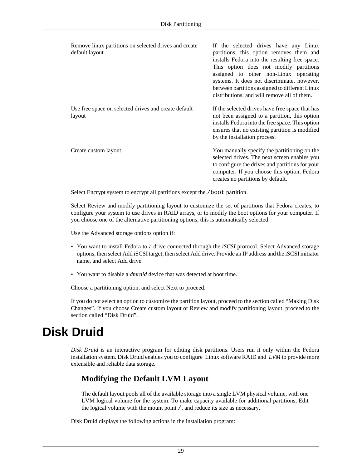| Remove linux partitions on selected drives and create<br>default layout | If the selected drives have any Linux<br>partitions, this option removes them and<br>installs Fedora into the resulting free space.<br>This option does not modify partitions<br>assigned to other non-Linux operating<br>systems. It does not discriminate, however,<br>between partitions assigned to different Linux<br>distributions, and will remove all of them. |
|-------------------------------------------------------------------------|------------------------------------------------------------------------------------------------------------------------------------------------------------------------------------------------------------------------------------------------------------------------------------------------------------------------------------------------------------------------|
| Use free space on selected drives and create default<br>layout          | If the selected drives have free space that has<br>not been assigned to a partition, this option<br>installs Fedora into the free space. This option<br>ensures that no existing partition is modified<br>by the installation process.                                                                                                                                 |
| Create custom layout                                                    | You manually specify the partitioning on the<br>selected drives. The next screen enables you<br>to configure the drives and partitions for your<br>computer. If you choose this option, Fedora<br>creates no partitions by default.                                                                                                                                    |

Select Encrypt system to encrypt all partitions except the /boot partition.

Select Review and modify partitioning layout to customize the set of partitions that Fedora creates, to configure your system to use drives in RAID arrays, or to modify the boot options for your computer. If you choose one of the alternative partitioning options, this is automatically selected.

Use the Advanced storage options option if:

- You want to install Fedora to a drive connected through the *iSCSI* protocol. Select Advanced storage options, then select Add iSCSI target, then select Add drive. Provide an IP address and the iSCSI initiator name, and select Add drive.
- You want to disable a *dmraid* device that was detected at boot time.

Choose a partitioning option, and select Next to proceed.

If you do not select an option to customize the partition layout, proceed to [the section called "Making Disk](#page-38-0) [Changes".](#page-38-0) If you choose Create custom layout or Review and modify partitioning layout, proceed to [the](#page-35-0) [section called "Disk Druid".](#page-35-0)

## <span id="page-35-0"></span>**Disk Druid**

<span id="page-35-1"></span>*Disk Druid* is an interactive program for editing disk partitions. Users run it only within the Fedora installation system. Disk Druid enables you to configure Linux software RAID and *LVM* to provide more extensible and reliable data storage.

#### <span id="page-35-3"></span><span id="page-35-2"></span>**Modifying the Default LVM Layout**

The default layout pools all of the available storage into a single LVM physical volume, with one LVM logical volume for the system. To make capacity available for additional partitions, Edit the logical volume with the mount point /, and reduce its size as necessary.

Disk Druid displays the following actions in the installation program: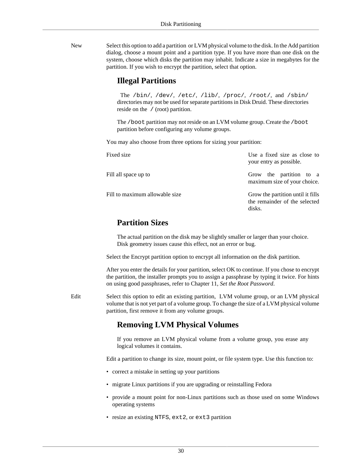New Select this option to add a partition or LVM physical volume to the disk. In the Add partition dialog, choose a mount point and a partition type. If you have more than one disk on the system, choose which disks the partition may inhabit. Indicate a size in megabytes for the partition. If you wish to encrypt the partition, select that option.

#### <span id="page-36-1"></span>**Illegal Partitions**

<span id="page-36-4"></span><span id="page-36-3"></span> The /bin/, /dev/, /etc/, /lib/, /proc/, /root/, and /sbin/ directories may not be used for separate partitions in Disk Druid. These directories reside on the / (root) partition.

The /boot partition may not reside on an LVM volume group. Create the /boot partition before configuring any volume groups.

You may also choose from three options for sizing your partition:

| Fixed size                     | Use a fixed size as close to<br>your entry as possible.                      |
|--------------------------------|------------------------------------------------------------------------------|
| Fill all space up to           | Grow the partition to a<br>maximum size of your choice.                      |
| Fill to maximum allowable size | Grow the partition until it fills<br>the remainder of the selected<br>disks. |

#### **Partition Sizes**

The actual partition on the disk may be slightly smaller or larger than your choice. Disk geometry issues cause this effect, not an error or bug.

Select the Encrypt partition option to encrypt all information on the disk partition.

After you enter the details for your partition, select OK to continue. If you chose to encrypt the partition, the installer prompts you to assign a passphrase by typing it twice. For hints on using good passphrases, refer to Chapter 11, *[Set the Root Password](#page-29-0)*.

<span id="page-36-0"></span>Edit Select this option to edit an existing partition, LVM volume group, or an LVM physical volume that is not yet part of a volume group. To change the size of a LVM physical volume partition, first remove it from any volume groups.

#### <span id="page-36-2"></span>**Removing LVM Physical Volumes**

If you remove an LVM physical volume from a volume group, you erase any logical volumes it contains.

Edit a partition to change its size, mount point, or file system type. Use this function to:

- correct a mistake in setting up your partitions
- migrate Linux partitions if you are upgrading or reinstalling Fedora
- provide a mount point for non-Linux partitions such as those used on some Windows operating systems
- resize an existing NTFS, ext2, or ext3 partition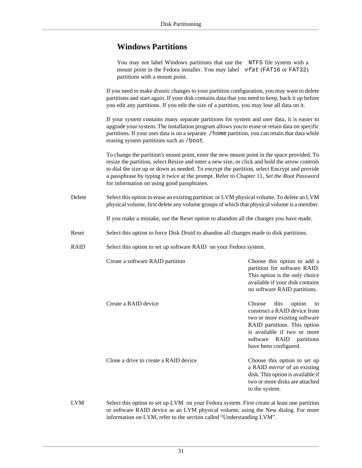#### <span id="page-37-4"></span><span id="page-37-3"></span><span id="page-37-1"></span><span id="page-37-0"></span>**Windows Partitions**

|                                                                                                                                                                                                    | You may not label Windows partitions that use the NTFS file system with a<br>mount point in the Fedora installer. You may label vfat (FAT16 or FAT32)<br>partitions with a mount point.                                                                                                                                                                                                                                                |                                                                                                                                                                                                                           |
|----------------------------------------------------------------------------------------------------------------------------------------------------------------------------------------------------|----------------------------------------------------------------------------------------------------------------------------------------------------------------------------------------------------------------------------------------------------------------------------------------------------------------------------------------------------------------------------------------------------------------------------------------|---------------------------------------------------------------------------------------------------------------------------------------------------------------------------------------------------------------------------|
|                                                                                                                                                                                                    | If you need to make <i>drastic</i> changes to your partition configuration, you may want to delete<br>partitions and start again. If your disk contains data that you need to keep, back it up before<br>you edit any partitions. If you edit the size of a partition, you may lose all data on it.                                                                                                                                    |                                                                                                                                                                                                                           |
|                                                                                                                                                                                                    | If your system contains many separate partitions for system and user data, it is easier to<br>upgrade your system. The installation program allows you to erase or retain data on specific<br>partitions. If your user data is on a separate / home partition, you can retain that data while<br>erasing system partitions such as /boot.                                                                                              |                                                                                                                                                                                                                           |
|                                                                                                                                                                                                    | To change the partition's mount point, enter the new mount point in the space provided. To<br>resize the partition, select Resize and enter a new size, or click and hold the arrow controls<br>to dial the size up or down as needed. To encrypt the partition, select Encrypt and provide<br>a passphrase by typing it twice at the prompt. Refer to Chapter 11, Set the Root Password<br>for information on using good passphrases. |                                                                                                                                                                                                                           |
| Delete<br>Select this option to erase an existing partition or LVM physical volume. To delete an LVM<br>physical volume, first delete any volume groups of which that physical volume is a member. |                                                                                                                                                                                                                                                                                                                                                                                                                                        |                                                                                                                                                                                                                           |
|                                                                                                                                                                                                    | If you make a mistake, use the Reset option to abandon all the changes you have made.                                                                                                                                                                                                                                                                                                                                                  |                                                                                                                                                                                                                           |
| Reset                                                                                                                                                                                              | Select this option to force Disk Druid to abandon all changes made to disk partitions.                                                                                                                                                                                                                                                                                                                                                 |                                                                                                                                                                                                                           |
| <b>RAID</b><br>Select this option to set up software RAID on your Fedora system.                                                                                                                   |                                                                                                                                                                                                                                                                                                                                                                                                                                        |                                                                                                                                                                                                                           |
|                                                                                                                                                                                                    | Create a software RAID partition                                                                                                                                                                                                                                                                                                                                                                                                       | Choose this option to add a<br>partition for software RAID.<br>This option is the only choice<br>available if your disk contains<br>no software RAID partitions.                                                          |
|                                                                                                                                                                                                    | Create a RAID device                                                                                                                                                                                                                                                                                                                                                                                                                   | Choose<br>this<br>option<br>to<br>construct a RAID device from<br>two or more existing software<br>RAID partitions. This option<br>is available if two or more<br>software<br>RAID<br>partitions<br>have been configured. |
|                                                                                                                                                                                                    | Clone a drive to create a RAID device                                                                                                                                                                                                                                                                                                                                                                                                  | Choose this option to set up<br>a RAID mirror of an existing<br>disk. This option is available if<br>two or more disks are attached<br>to the system.                                                                     |
| <b>LVM</b>                                                                                                                                                                                         | Select this option to set up LVM on your Fedora system. First create at least one partition                                                                                                                                                                                                                                                                                                                                            |                                                                                                                                                                                                                           |

<span id="page-37-5"></span><span id="page-37-2"></span>LVM Select this option to set up LVM on your Fedora system. First create at least one partition or software RAID device as an LVM physical volume, using the New dialog. For more information on LVM, refer to [the section called "Understanding LVM".](#page-32-0)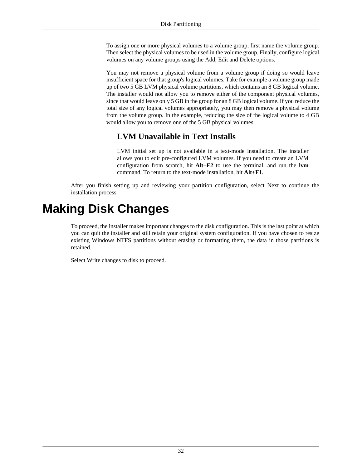To assign one or more physical volumes to a volume group, first name the volume group. Then select the physical volumes to be used in the volume group. Finally, configure logical volumes on any volume groups using the Add, Edit and Delete options.

You may not remove a physical volume from a volume group if doing so would leave insufficient space for that group's logical volumes. Take for example a volume group made up of two 5 GB LVM physical volume partitions, which contains an 8 GB logical volume. The installer would not allow you to remove either of the component physical volumes, since that would leave only 5 GB in the group for an 8 GB logical volume. If you reduce the total size of any logical volumes appropriately, you may then remove a physical volume from the volume group. In the example, reducing the size of the logical volume to 4 GB would allow you to remove one of the 5 GB physical volumes.

#### **LVM Unavailable in Text Installs**

LVM initial set up is not available in a text-mode installation. The installer allows you to edit pre-configured LVM volumes. If you need to create an LVM configuration from scratch, hit **Alt**+**F2** to use the terminal, and run the **lvm** command. To return to the text-mode installation, hit **Alt**+**F1**.

After you finish setting up and reviewing your partition configuration, select Next to continue the installation process.

# <span id="page-38-0"></span>**Making Disk Changes**

To proceed, the installer makes important changes to the disk configuration. This is the last point at which you can quit the installer and still retain your original system configuration. If you have chosen to resize existing Windows NTFS partitions without erasing or formatting them, the data in those partitions is retained.

Select Write changes to disk to proceed.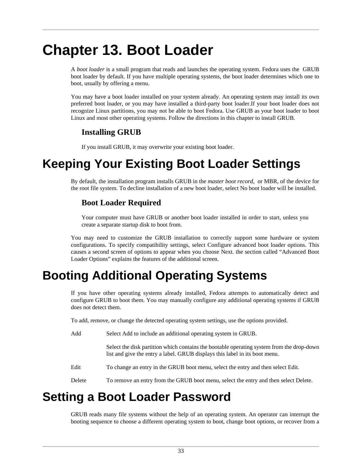# <span id="page-39-0"></span>**Chapter 13. Boot Loader**

A *boot loader* is a small program that reads and launches the operating system. Fedora uses the GRUB boot loader by default. If you have multiple operating systems, the boot loader determines which one to boot, usually by offering a menu.

You may have a boot loader installed on your system already. An operating system may install its own preferred boot loader, or you may have installed a third-party boot loader.If your boot loader does not recognize Linux partitions, you may not be able to boot Fedora. Use GRUB as your boot loader to boot Linux and most other operating systems. Follow the directions in this chapter to install GRUB.

#### <span id="page-39-4"></span>**Installing GRUB**

If you install GRUB, it may overwrite your existing boot loader.

# <span id="page-39-1"></span>**Keeping Your Existing Boot Loader Settings**

By default, the installation program installs GRUB in the *master boot record*, or MBR, of the device for the root file system. To decline installation of a new boot loader, select No boot loader will be installed.

#### <span id="page-39-5"></span>**Boot Loader Required**

Your computer must have GRUB or another boot loader installed in order to start, unless you create a separate startup disk to boot from.

You may need to customize the GRUB installation to correctly support some hardware or system configurations. To specify compatibility settings, select Configure advanced boot loader options. This causes a second screen of options to appear when you choose Next. [the section called "Advanced Boot](#page-40-1) [Loader Options"](#page-40-1) explains the features of the additional screen.

# <span id="page-39-2"></span>**Booting Additional Operating Systems**

If you have other operating systems already installed, Fedora attempts to automatically detect and configure GRUB to boot them. You may manually configure any additional operating systems if GRUB does not detect them.

To add, remove, or change the detected operating system settings, use the options provided.

Add Select Add to include an additional operating system in GRUB.

Select the disk partition which contains the bootable operating system from the drop-down list and give the entry a label. GRUB displays this label in its boot menu.

- Edit To change an entry in the GRUB boot menu, select the entry and then select Edit.
- Delete To remove an entry from the GRUB boot menu, select the entry and then select Delete.

## <span id="page-39-3"></span>**Setting a Boot Loader Password**

GRUB reads many file systems without the help of an operating system. An operator can interrupt the booting sequence to choose a different operating system to boot, change boot options, or recover from a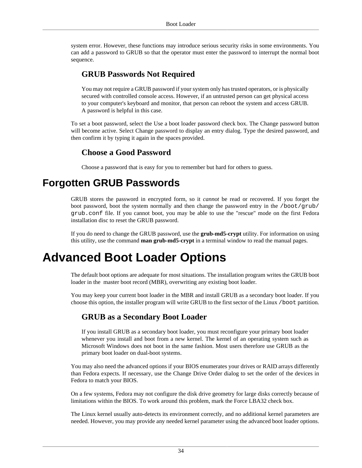system error. However, these functions may introduce serious security risks in some environments. You can add a password to GRUB so that the operator must enter the password to interrupt the normal boot sequence.

#### **GRUB Passwords Not Required**

You may not require a GRUB password if your system only has trusted operators, or is physically secured with controlled console access. However, if an untrusted person can get physical access to your computer's keyboard and monitor, that person can reboot the system and access GRUB. A password is helpful in this case.

To set a boot password, select the Use a boot loader password check box. The Change password button will become active. Select Change password to display an entry dialog. Type the desired password, and then confirm it by typing it again in the spaces provided.

#### **Choose a Good Password**

Choose a password that is easy for you to remember but hard for others to guess.

## <span id="page-40-0"></span>**Forgotten GRUB Passwords**

GRUB stores the password in encrypted form, so it *cannot* be read or recovered. If you forget the boot password, boot the system normally and then change the password entry in the /boot/grub/ grub.conf file. If you cannot boot, you may be able to use the "rescue" mode on the first Fedora installation disc to reset the GRUB password.

If you do need to change the GRUB password, use the **grub-md5-crypt** utility. For information on using this utility, use the command **man grub-md5-crypt** in a terminal window to read the manual pages.

## <span id="page-40-1"></span>**Advanced Boot Loader Options**

<span id="page-40-2"></span>The default boot options are adequate for most situations. The installation program writes the GRUB boot loader in the master boot record (MBR), overwriting any existing boot loader.

You may keep your current boot loader in the MBR and install GRUB as a secondary boot loader. If you choose this option, the installer program will write GRUB to the first sector of the Linux /boot partition.

#### **GRUB as a Secondary Boot Loader**

If you install GRUB as a secondary boot loader, you must reconfigure your primary boot loader whenever you install and boot from a new kernel. The kernel of an operating system such as Microsoft Windows does not boot in the same fashion. Most users therefore use GRUB as the primary boot loader on dual-boot systems.

You may also need the advanced options if your BIOS enumerates your drives or RAID arrays differently than Fedora expects. If necessary, use the Change Drive Order dialog to set the order of the devices in Fedora to match your BIOS.

On a few systems, Fedora may not configure the disk drive geometry for large disks correctly because of limitations within the BIOS. To work around this problem, mark the Force LBA32 check box.

The Linux kernel usually auto-detects its environment correctly, and no additional kernel parameters are needed. However, you may provide any needed kernel parameter using the advanced boot loader options.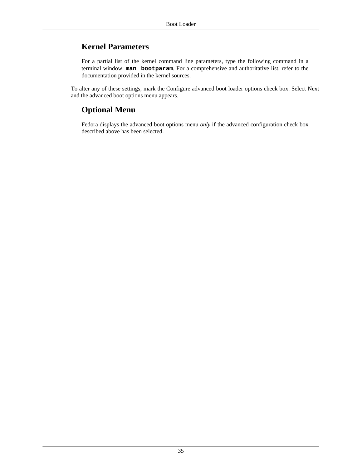#### **Kernel Parameters**

For a partial list of the kernel command line parameters, type the following command in a terminal window: **man bootparam**. For a comprehensive and authoritative list, refer to the documentation provided in the kernel sources.

To alter any of these settings, mark the Configure advanced boot loader options check box. Select Next and the advanced boot options menu appears.

#### **Optional Menu**

Fedora displays the advanced boot options menu *only* if the advanced configuration check box described above has been selected.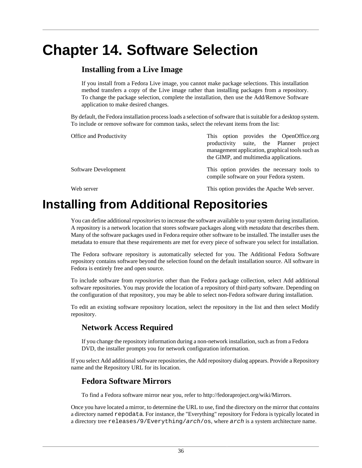# <span id="page-42-0"></span>**Chapter 14. Software Selection**

#### **Installing from a Live Image**

If you install from a Fedora Live image, you cannot make package selections. This installation method transfers a copy of the Live image rather than installing packages from a repository. To change the package selection, complete the installation, then use the Add/Remove Software application to make desired changes.

By default, the Fedora installation process loads a selection of software that is suitable for a desktop system. To include or remove software for common tasks, select the relevant items from the list:

| Office and Productivity | This option provides the OpenOffice.org<br>suite, the Planner<br>productivity<br>project<br>management application, graphical tools such as<br>the GIMP, and multimedia applications. |
|-------------------------|---------------------------------------------------------------------------------------------------------------------------------------------------------------------------------------|
| Software Development    | This option provides the necessary tools to<br>compile software on your Fedora system.                                                                                                |
| Web server              | This option provides the Apache Web server.                                                                                                                                           |

# <span id="page-42-1"></span>**Installing from Additional Repositories**

You can define additional *repositories* to increase the software available to your system during installation. A repository is a network location that stores software packages along with *metadata* that describes them. Many of the software packages used in Fedora require other software to be installed. The installer uses the metadata to ensure that these requirements are met for every piece of software you select for installation.

The Fedora software repository is automatically selected for you. The Additional Fedora Software repository contains software beyond the selection found on the default installation source. All software in Fedora is entirely free and open source.

To include software from *repositories* other than the Fedora package collection, select Add additional software repositories. You may provide the location of a repository of third-party software. Depending on the configuration of that repository, you may be able to select non-Fedora software during installation.

To edit an existing software repository location, select the repository in the list and then select Modify repository.

#### **Network Access Required**

If you change the repository information during a non-network installation, such as from a Fedora DVD, the installer prompts you for network configuration information.

If you select Add additional software repositories, the Add repository dialog appears. Provide a Repository name and the Repository URL for its location.

#### **Fedora Software Mirrors**

To find a Fedora software mirror near you, refer to [http://fedoraproject.org/wiki/Mirrors.](http://fedoraproject.org/wiki/Mirrors)

Once you have located a mirror, to determine the URL to use, find the directory on the mirror that *contains* a directory named repodata. For instance, the "Everything" repository for Fedora is typically located in a directory tree releases/9/Everything/arch/os, where arch is a system architecture name.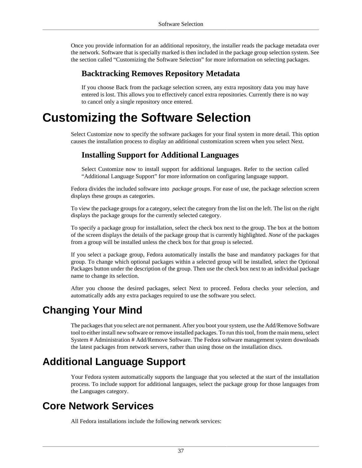Once you provide information for an additional repository, the installer reads the package metadata over the network. Software that is specially marked is then included in the package group selection system. See [the section called "Customizing the Software Selection"](#page-43-0) for more information on selecting packages.

#### **Backtracking Removes Repository Metadata**

If you choose Back from the package selection screen, any extra repository data you may have entered is lost. This allows you to effectively cancel extra repositories. Currently there is no way to cancel only a single repository once entered.

# <span id="page-43-0"></span>**Customizing the Software Selection**

Select Customize now to specify the software packages for your final system in more detail. This option causes the installation process to display an additional customization screen when you select Next.

#### **Installing Support for Additional Languages**

<span id="page-43-4"></span>Select Customize now to install support for additional languages. Refer to [the section called](#page-43-2) ["Additional Language Support"](#page-43-2) for more information on configuring language support.

Fedora divides the included software into *package groups*. For ease of use, the package selection screen displays these groups as categories.

To view the package groups for a category, select the category from the list on the left. The list on the right displays the package groups for the currently selected category.

To specify a package group for installation, select the check box next to the group. The box at the bottom of the screen displays the details of the package group that is currently highlighted. *None* of the packages from a group will be installed unless the check box for that group is selected.

If you select a package group, Fedora automatically installs the base and mandatory packages for that group. To change which optional packages within a selected group will be installed, select the Optional Packages button under the description of the group. Then use the check box next to an individual package name to change its selection.

After you choose the desired packages, select Next to proceed. Fedora checks your selection, and automatically adds any extra packages required to use the software you select.

## <span id="page-43-1"></span>**Changing Your Mind**

The packages that you select are not permanent. After you boot your system, use the Add/Remove Software tool to either install new software or remove installed packages. To run this tool, from the main menu, select System # Administration # Add/Remove Software. The Fedora software management system downloads the latest packages from network servers, rather than using those on the installation discs.

## <span id="page-43-2"></span>**Additional Language Support**

Your Fedora system automatically supports the language that you selected at the start of the installation process. To include support for additional languages, select the package group for those languages from the Languages category.

## <span id="page-43-3"></span>**Core Network Services**

All Fedora installations include the following network services: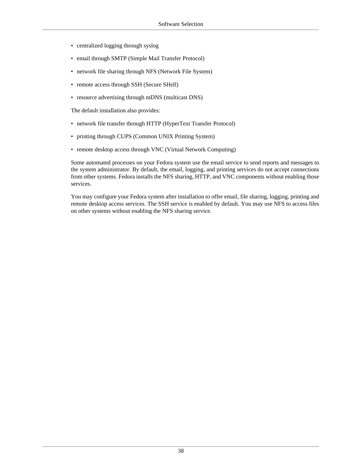- centralized logging through syslog
- email through SMTP (Simple Mail Transfer Protocol)
- network file sharing through NFS (Network File System)
- remote access through SSH (Secure SHell)
- resource advertising through mDNS (multicast DNS)

The default installation also provides:

- network file transfer through HTTP (HyperText Transfer Protocol)
- printing through CUPS (Common UNIX Printing System)
- remote desktop access through VNC (Virtual Network Computing)

Some automated processes on your Fedora system use the email service to send reports and messages to the system administrator. By default, the email, logging, and printing services do not accept connections from other systems. Fedora installs the NFS sharing, HTTP, and VNC components without enabling those services.

You may configure your Fedora system after installation to offer email, file sharing, logging, printing and remote desktop access services. The SSH service is enabled by default. You may use NFS to access files on other systems without enabling the NFS sharing service.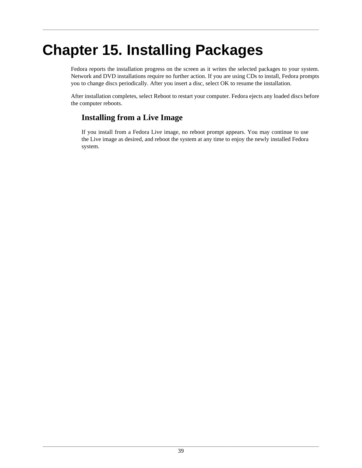# <span id="page-45-0"></span>**Chapter 15. Installing Packages**

Fedora reports the installation progress on the screen as it writes the selected packages to your system. Network and DVD installations require no further action. If you are using CDs to install, Fedora prompts you to change discs periodically. After you insert a disc, select OK to resume the installation.

After installation completes, select Reboot to restart your computer. Fedora ejects any loaded discs before the computer reboots.

#### **Installing from a Live Image**

If you install from a Fedora Live image, no reboot prompt appears. You may continue to use the Live image as desired, and reboot the system at any time to enjoy the newly installed Fedora system.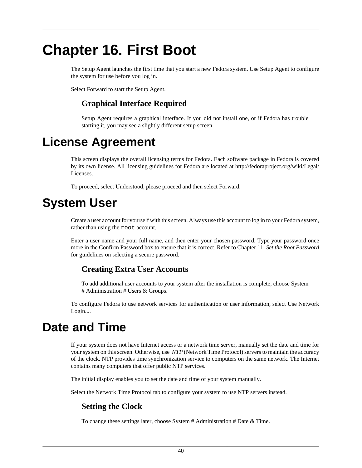# <span id="page-46-0"></span>**Chapter 16. First Boot**

The Setup Agent launches the first time that you start a new Fedora system. Use Setup Agent to configure the system for use before you log in.

Select Forward to start the Setup Agent.

#### **Graphical Interface Required**

Setup Agent requires a graphical interface. If you did not install one, or if Fedora has trouble starting it, you may see a slightly different setup screen.

## <span id="page-46-1"></span>**License Agreement**

This screen displays the overall licensing terms for Fedora. Each software package in Fedora is covered by its own license. All licensing guidelines for Fedora are located at [http://fedoraproject.org/wiki/Legal/](http://fedoraproject.org/wiki/Legal/Licenses) [Licenses.](http://fedoraproject.org/wiki/Legal/Licenses)

To proceed, select Understood, please proceed and then select Forward.

## <span id="page-46-2"></span>**System User**

Create a user account for yourself with this screen. Always use this account to log in to your Fedora system, rather than using the root account.

Enter a user name and your full name, and then enter your chosen password. Type your password once more in the Confirm Password box to ensure that it is correct. Refer to Chapter 11, *[Set the Root Password](#page-29-0)* for guidelines on selecting a secure password.

#### **Creating Extra User Accounts**

To add additional user accounts to your system after the installation is complete, choose System # Administration # Users & Groups.

To configure Fedora to use network services for authentication or user information, select Use Network Login....

## <span id="page-46-3"></span>**Date and Time**

<span id="page-46-4"></span>If your system does not have Internet access or a network time server, manually set the date and time for your system on this screen. Otherwise, use *NTP* (Network Time Protocol) servers to maintain the accuracy of the clock. NTP provides time synchronization service to computers on the same network. The Internet contains many computers that offer public NTP services.

The initial display enables you to set the date and time of your system manually.

Select the Network Time Protocol tab to configure your system to use NTP servers instead.

#### **Setting the Clock**

To change these settings later, choose System # Administration # Date & Time.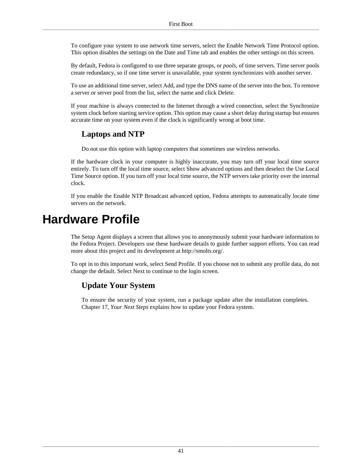To configure your system to use network time servers, select the Enable Network Time Protocol option. This option disables the settings on the Date and Time tab and enables the other settings on this screen.

By default, Fedora is configured to use three separate groups, or *pools*, of time servers. Time server pools create redundancy, so if one time server is unavailable, your system synchronizes with another server.

To use an additional time server, select Add, and type the DNS name of the server into the box. To remove a server or server pool from the list, select the name and click Delete.

If your machine is always connected to the Internet through a wired connection, select the Synchronize system clock before starting service option. This option may cause a short delay during startup but ensures accurate time on your system even if the clock is significantly wrong at boot time.

#### **Laptops and NTP**

Do not use this option with laptop computers that sometimes use wireless networks.

If the hardware clock in your computer is highly inaccurate, you may turn off your local time source entirely. To turn off the local time source, select Show advanced options and then deselect the Use Local Time Source option. If you turn off your local time source, the NTP servers take priority over the internal clock.

If you enable the Enable NTP Broadcast advanced option, Fedora attempts to automatically locate time servers on the network.

## <span id="page-47-0"></span>**Hardware Profile**

The Setup Agent displays a screen that allows you to anonymously submit your hardware information to the Fedora Project. Developers use these hardware details to guide further support efforts. You can read more about this project and its development at <http://smolts.org/>.

To opt in to this important work, select Send Profile. If you choose not to submit any profile data, do not change the default. Select Next to continue to the login screen.

#### **Update Your System**

To ensure the security of your system, run a package update after the installation completes. Chapter 17, *[Your Next Steps](#page-48-0)* explains how to update your Fedora system.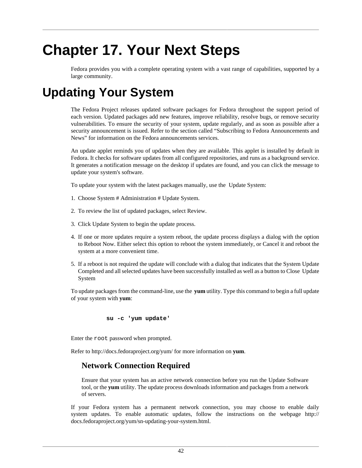# <span id="page-48-0"></span>**Chapter 17. Your Next Steps**

Fedora provides you with a complete operating system with a vast range of capabilities, supported by a large community.

# <span id="page-48-1"></span>**Updating Your System**

The Fedora Project releases updated software packages for Fedora throughout the support period of each version. Updated packages add new features, improve reliability, resolve bugs, or remove security vulnerabilities. To ensure the security of your system, update regularly, and as soon as possible after a security announcement is issued. Refer to [the section called "Subscribing to Fedora Announcements and](#page-50-0) [News"](#page-50-0) for information on the Fedora announcements services.

An update applet reminds you of updates when they are available. This applet is installed by default in Fedora. It checks for software updates from all configured repositories, and runs as a background service. It generates a notification message on the desktop if updates are found, and you can click the message to update your system's software.

<span id="page-48-2"></span>To update your system with the latest packages manually, use the Update System:

- 1. Choose System # Administration # Update System.
- 2. To review the list of updated packages, select Review.
- 3. Click Update System to begin the update process.
- 4. If one or more updates require a system reboot, the update process displays a dialog with the option to Reboot Now. Either select this option to reboot the system immediately, or Cancel it and reboot the system at a more convenient time.
- 5. If a reboot is not required the update will conclude with a dialog that indicates that the System Update Completed and all selected updates have been successfully installed as well as a button to Close Update System

To update packages from the command-line, use the **yum** utility. Type this command to begin a full update of your system with **yum**:

<span id="page-48-4"></span><span id="page-48-3"></span>**su -c 'yum update'**

Enter the root password when prompted.

Refer to <http://docs.fedoraproject.org/yum/> for more information on **yum**.

#### **Network Connection Required**

Ensure that your system has an active network connection before you run the Update Software tool, or the **yum** utility. The update process downloads information and packages from a network of servers.

If your Fedora system has a permanent network connection, you may choose to enable daily system updates. To enable automatic updates, follow the instructions on the webpage [http://](http://docs.fedoraproject.org/yum/sn-updating-your-system.html) [docs.fedoraproject.org/yum/sn-updating-your-system.html](http://docs.fedoraproject.org/yum/sn-updating-your-system.html).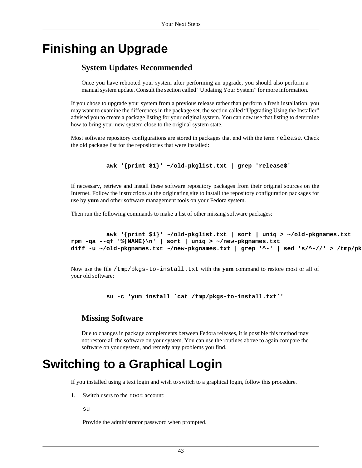## <span id="page-49-0"></span>**Finishing an Upgrade**

#### **System Updates Recommended**

Once you have rebooted your system after performing an upgrade, you should also perform a manual system update. Consult [the section called "Updating Your System"](#page-48-1) for more information.

If you chose to upgrade your system from a previous release rather than perform a fresh installation, you may want to examine the differences in the package set. [the section called "Upgrading Using the Installer"](#page-24-2) advised you to create a package listing for your original system. You can now use that listing to determine how to bring your new system close to the original system state.

Most software repository configurations are stored in packages that end with the term release. Check the old package list for the repositories that were installed:

```
 awk '{print $1}' ~/old-pkglist.txt | grep 'release$'
```
If necessary, retrieve and install these software repository packages from their original sources on the Internet. Follow the instructions at the originating site to install the repository configuration packages for use by **yum** and other software management tools on your Fedora system.

Then run the following commands to make a list of other missing software packages:

```
 awk '{print $1}' ~/old-pkglist.txt | sort | uniq > ~/old-pkgnames.txt
rpm -qa --qf '%{NAME}\n' | sort | uniq > ~/new-pkgnames.txt
diff -u ~/old-pkgnames.txt ~/new-pkgnames.txt | grep '^-' | sed 's/^-//' > /tmp/pk
```
Now use the file /tmp/pkgs-to-install.txt with the **yum** command to restore most or all of your old software:

**su -c 'yum install `cat /tmp/pkgs-to-install.txt`'**

#### **Missing Software**

Due to changes in package complements between Fedora releases, it is possible this method may not restore all the software on your system. You can use the routines above to again compare the software on your system, and remedy any problems you find.

## <span id="page-49-1"></span>**Switching to a Graphical Login**

If you installed using a text login and wish to switch to a graphical login, follow this procedure.

1. Switch users to the root account:

su -

Provide the administrator password when prompted.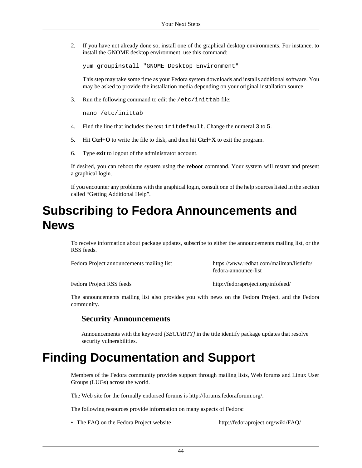2. If you have not already done so, install one of the graphical desktop environments. For instance, to install the GNOME desktop environment, use this command:

yum groupinstall "GNOME Desktop Environment"

This step may take some time as your Fedora system downloads and installs additional software. You may be asked to provide the installation media depending on your original installation source.

3. Run the following command to edit the /etc/inittab file:

nano /etc/inittab

- 4. Find the line that includes the text initdefault. Change the numeral 3 to 5.
- 5. Hit **Ctrl**+**O** to write the file to disk, and then hit **Ctrl**+**X** to exit the program.
- 6. Type **exit** to logout of the administrator account.

If desired, you can reboot the system using the **reboot** command. Your system will restart and present a graphical login.

If you encounter any problems with the graphical login, consult one of the help sources listed in [the section](#page-7-3) [called "Getting Additional Help"](#page-7-3).

## <span id="page-50-0"></span>**Subscribing to Fedora Announcements and News**

To receive information about package updates, subscribe to either the announcements mailing list, or the RSS feeds.

| Fedora Project announcements mailing list | https://www.redhat.com/mailman/listinfo/<br>fedora-announce-list |
|-------------------------------------------|------------------------------------------------------------------|
| Fedora Project RSS feeds                  | http://fedoraproject.org/infofeed/                               |

The announcements mailing list also provides you with news on the Fedora Project, and the Fedora community.

#### **Security Announcements**

Announcements with the keyword *[SECURITY]* in the title identify package updates that resolve security vulnerabilities.

## <span id="page-50-1"></span>**Finding Documentation and Support**

Members of the Fedora community provides support through mailing lists, Web forums and Linux User Groups (LUGs) across the world.

The Web site for the formally endorsed forums is [http://forums.fedoraforum.org/.](http://forums.fedoraforum.org/)

The following resources provide information on many aspects of Fedora:

• The FAQ on the Fedora Project website <http://fedoraproject.org/wiki/FAQ/>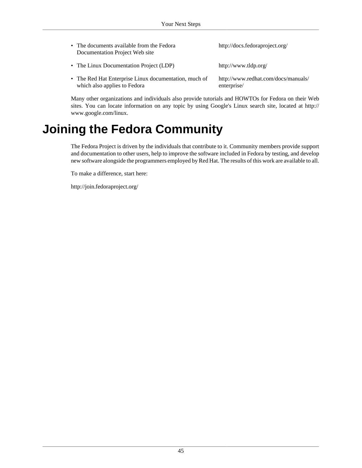| • The documents available from the Fedora<br>Documentation Project Web site           | http://docs.fedoraproject.org/                     |
|---------------------------------------------------------------------------------------|----------------------------------------------------|
| • The Linux Documentation Project (LDP)                                               | http://www.tldp.org/                               |
| • The Red Hat Enterprise Linux documentation, much of<br>which also applies to Fedora | http://www.redhat.com/docs/manuals/<br>enterprise/ |

Many other organizations and individuals also provide tutorials and HOWTOs for Fedora on their Web sites. You can locate information on any topic by using Google's Linux search site, located at [http://](http://www.google.com/linux) [www.google.com/linux](http://www.google.com/linux).

# <span id="page-51-0"></span>**Joining the Fedora Community**

The Fedora Project is driven by the individuals that contribute to it. Community members provide support and documentation to other users, help to improve the software included in Fedora by testing, and develop new software alongside the programmers employed by Red Hat. The results of this work are available to all.

To make a difference, start here:

<http://join.fedoraproject.org/>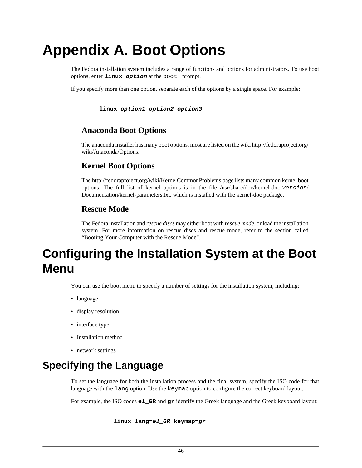# <span id="page-52-0"></span>**Appendix A. Boot Options**

The Fedora installation system includes a range of functions and options for administrators. To use boot options, enter **linux option** at the boot: prompt.

If you specify more than one option, separate each of the options by a single space. For example:

**linux option1 option2 option3**

#### **Anaconda Boot Options**

The anaconda installer has many boot options, most are listed on the wiki [http://fedoraproject.org/](http://fedoraproject.org/wiki/Anaconda/Options) [wiki/Anaconda/Options.](http://fedoraproject.org/wiki/Anaconda/Options)

#### **Kernel Boot Options**

The<http://fedoraproject.org/wiki/KernelCommonProblems> page lists many common kernel boot options. The full list of kernel options is in the file /usr/share/doc/kernel-doc-version/ Documentation/kernel-parameters.txt, which is installed with the kernel-doc package.

#### **Rescue Mode**

The Fedora installation and *rescue discs* may either boot with *rescue mode*, or load the installation system. For more information on rescue discs and rescue mode, refer to [the section called](#page-60-0) ["Booting Your Computer with the Rescue Mode".](#page-60-0)

## <span id="page-52-1"></span>**Configuring the Installation System at the Boot Menu**

You can use the boot menu to specify a number of settings for the installation system, including:

- language
- display resolution
- interface type
- Installation method
- network settings

## <span id="page-52-2"></span>**Specifying the Language**

To set the language for both the installation process and the final system, specify the ISO code for that language with the lang option. Use the keymap option to configure the correct keyboard layout.

For example, the ISO codes **el\_GR** and **gr** identify the Greek language and the Greek keyboard layout:

**linux lang=el\_GR keymap=gr**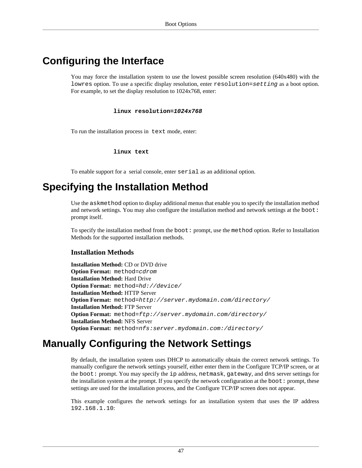### <span id="page-53-0"></span>**Configuring the Interface**

You may force the installation system to use the lowest possible screen resolution (640x480) with the lowres option. To use a specific display resolution, enter resolution=setting as a boot option. For example, to set the display resolution to 1024x768, enter:

<span id="page-53-5"></span>**linux resolution=1024x768**

To run the installation process in text mode, enter:

<span id="page-53-4"></span>**linux text**

To enable support for a serial console, enter serial as an additional option.

## <span id="page-53-1"></span>**Specifying the Installation Method**

Use the askmethod option to display additional menus that enable you to specify the installation method and network settings. You may also configure the installation method and network settings at the boot: prompt itself.

To specify the installation method from the boot: prompt, use the method option. Refer to [Installation](#page-53-3) [Methods](#page-53-3) for the supported installation methods.

#### <span id="page-53-3"></span>**Installation Methods**

**Installation Method:** CD or DVD drive **Option Format:** method=cdrom **Installation Method:** Hard Drive **Option Format:** method=hd://device/ **Installation Method:** HTTP Server **Option Format:** method=http://server.mydomain.com/directory/ **Installation Method:** FTP Server **Option Format:** method=ftp://server.mydomain.com/directory/ **Installation Method:** NFS Server **Option Format:** method=nfs:server.mydomain.com:/directory/

## <span id="page-53-2"></span>**Manually Configuring the Network Settings**

By default, the installation system uses DHCP to automatically obtain the correct network settings. To manually configure the network settings yourself, either enter them in the Configure TCP/IP screen, or at the boot: prompt. You may specify the ip address, netmask, gateway, and dns server settings for the installation system at the prompt. If you specify the network configuration at the boot: prompt, these settings are used for the installation process, and the Configure TCP/IP screen does not appear.

This example configures the network settings for an installation system that uses the IP address 192.168.1.10: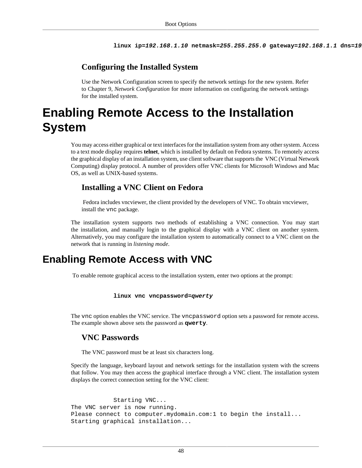**linux ip=192.168.1.10 netmask=255.255.255.0 gateway=192.168.1.1 dns=192.168.1.2,192.168.1.3**

#### **Configuring the Installed System**

Use the Network Configuration screen to specify the network settings for the new system. Refer to Chapter 9, *[Network Configuration](#page-26-0)* for more information on configuring the network settings for the installed system.

# <span id="page-54-0"></span>**Enabling Remote Access to the Installation System**

You may access either graphical or text interfaces for the installation system from any other system. Access to a text mode display requires **telnet**, which is installed by default on Fedora systems. To remotely access the graphical display of an installation system, use client software that supports the VNC (Virtual Network Computing) display protocol. A number of providers offer VNC clients for Microsoft Windows and Mac OS, as well as UNIX-based systems.

#### <span id="page-54-2"></span>**Installing a VNC Client on Fedora**

<span id="page-54-4"></span> Fedora includes vncviewer, the client provided by the developers of VNC. To obtain vncviewer, install the vnc package.

The installation system supports two methods of establishing a VNC connection. You may start the installation, and manually login to the graphical display with a VNC client on another system. Alternatively, you may configure the installation system to automatically connect to a VNC client on the network that is running in *listening mode*.

### <span id="page-54-1"></span>**Enabling Remote Access with VNC**

<span id="page-54-3"></span>To enable remote graphical access to the installation system, enter two options at the prompt:

#### **linux vnc vncpassword=qwerty**

The vnc option enables the VNC service. The vncpassword option sets a password for remote access. The example shown above sets the password as **qwerty**.

#### **VNC Passwords**

The VNC password must be at least six characters long.

Specify the language, keyboard layout and network settings for the installation system with the screens that follow. You may then access the graphical interface through a VNC client. The installation system displays the correct connection setting for the VNC client:

```
 Starting VNC...
The VNC server is now running.
Please connect to computer.mydomain.com:1 to begin the install...
Starting graphical installation...
```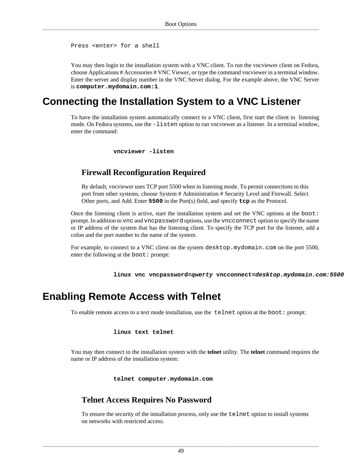```
Press <enter> for a shell
```
You may then login to the installation system with a VNC client. To run the vncviewer client on Fedora, choose Applications # Accessories # VNC Viewer, or type the command vncviewer in a terminal window. Enter the server and display number in the VNC Server dialog. For the example above, the VNC Server is **computer.mydomain.com:1**.

#### <span id="page-55-0"></span>**Connecting the Installation System to a VNC Listener**

To have the installation system automatically connect to a VNC client, first start the client in listening mode. On Fedora systems, use the -listen option to run vncviewer as a listener. In a terminal window, enter the command:

<span id="page-55-3"></span>**vncviewer -listen**

#### **Firewall Reconfiguration Required**

By default, vncviewer uses TCP port 5500 when in listening mode. To permit connections to this port from other systems, choose System # Administration # Security Level and Firewall. Select Other ports, and Add. Enter **5500** in the Port(s) field, and specify **tcp** as the Protocol.

Once the listening client is active, start the installation system and set the VNC options at the boot: prompt. In addition to vnc and vncpassword options, use the vncconnect option to specify the name or IP address of the system that has the listening client. To specify the TCP port for the listener, add a colon and the port number to the name of the system.

For example, to connect to a VNC client on the system desktop.mydomain.com on the port 5500, enter the following at the boot: prompt:

**linux vnc vncpassword=qwerty vncconnect=desktop.mydomain.com:5500**

### <span id="page-55-1"></span>**Enabling Remote Access with Telnet**

To enable remote access to a text mode installation, use the telnet option at the boot: prompt:

#### <span id="page-55-2"></span>**linux text telnet**

You may then connect to the installation system with the **telnet** utility. The **telnet** command requires the name or IP address of the installation system:

**telnet computer.mydomain.com**

#### **Telnet Access Requires No Password**

To ensure the security of the installation process, only use the telnet option to install systems on networks with restricted access.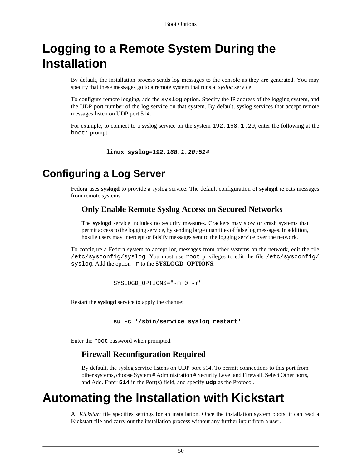## <span id="page-56-0"></span>**Logging to a Remote System During the Installation**

By default, the installation process sends log messages to the console as they are generated. You may specify that these messages go to a remote system that runs a *syslog* service.

To configure remote logging, add the syslog option. Specify the IP address of the logging system, and the UDP port number of the log service on that system. By default, syslog services that accept remote messages listen on UDP port 514.

For example, to connect to a syslog service on the system 192.168.1.20, enter the following at the boot: prompt:

<span id="page-56-4"></span>**linux syslog=192.168.1.20:514**

## <span id="page-56-1"></span>**Configuring a Log Server**

Fedora uses **syslogd** to provide a syslog service. The default configuration of **syslogd** rejects messages from remote systems.

#### **Only Enable Remote Syslog Access on Secured Networks**

The **syslogd** service includes no security measures. Crackers may slow or crash systems that permit access to the logging service, by sending large quantities of false log messages. In addition, hostile users may intercept or falsify messages sent to the logging service over the network.

To configure a Fedora system to accept log messages from other systems on the network, edit the file /etc/sysconfig/syslog. You must use root privileges to edit the file /etc/sysconfig/ syslog. Add the option -r to the **SYSLOGD\_OPTIONS**:

SYSLOGD\_OPTIONS="-m 0 **-r**"

Restart the **syslogd** service to apply the change:

**su -c '/sbin/service syslog restart'**

Enter the root password when prompted.

#### **Firewall Reconfiguration Required**

By default, the syslog service listens on UDP port 514. To permit connections to this port from other systems, choose System # Administration # Security Level and Firewall. Select Other ports, and Add. Enter **514** in the Port(s) field, and specify **udp** as the Protocol.

## <span id="page-56-2"></span>**Automating the Installation with Kickstart**

<span id="page-56-3"></span>A *Kickstart* file specifies settings for an installation. Once the installation system boots, it can read a Kickstart file and carry out the installation process without any further input from a user.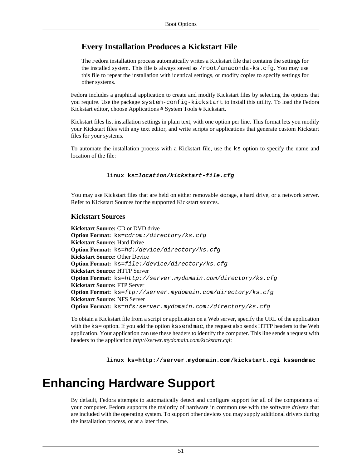#### **Every Installation Produces a Kickstart File**

The Fedora installation process automatically writes a Kickstart file that contains the settings for the installed system. This file is always saved as /root/anaconda-ks.cfg. You may use this file to repeat the installation with identical settings, or modify copies to specify settings for other systems.

Fedora includes a graphical application to create and modify Kickstart files by selecting the options that you require. Use the package system-config-kickstart to install this utility. To load the Fedora Kickstart editor, choose Applications # System Tools # Kickstart.

Kickstart files list installation settings in plain text, with one option per line. This format lets you modify your Kickstart files with any text editor, and write scripts or applications that generate custom Kickstart files for your systems.

To automate the installation process with a Kickstart file, use the ks option to specify the name and location of the file:

#### **linux ks=location/kickstart-file.cfg**

You may use Kickstart files that are held on either removable storage, a hard drive, or a network server. Refer to [Kickstart Sources](#page-57-1) for the supported Kickstart sources.

#### <span id="page-57-1"></span>**Kickstart Sources**

**Kickstart Source:** CD or DVD drive **Option Format:** ks=cdrom:/directory/ks.cfg **Kickstart Source:** Hard Drive **Option Format:** ks=hd:/device/directory/ks.cfg **Kickstart Source:** Other Device **Option Format:** ks=file:/device/directory/ks.cfg **Kickstart Source:** HTTP Server **Option Format:** ks=http://server.mydomain.com/directory/ks.cfg **Kickstart Source:** FTP Server **Option Format:** ks=ftp://server.mydomain.com/directory/ks.cfg **Kickstart Source:** NFS Server **Option Format:** ks=nfs:server.mydomain.com:/directory/ks.cfg

To obtain a Kickstart file from a script or application on a Web server, specify the URL of the application with the ks= option. If you add the option kssendmac, the request also sends HTTP headers to the Web application. Your application can use these headers to identify the computer. This line sends a request with headers to the application *http://server.mydomain.com/kickstart.cgi*:

**linux ks=http://server.mydomain.com/kickstart.cgi kssendmac**

## <span id="page-57-0"></span>**Enhancing Hardware Support**

By default, Fedora attempts to automatically detect and configure support for all of the components of your computer. Fedora supports the majority of hardware in common use with the software *drivers* that are included with the operating system. To support other devices you may supply additional drivers during the installation process, or at a later time.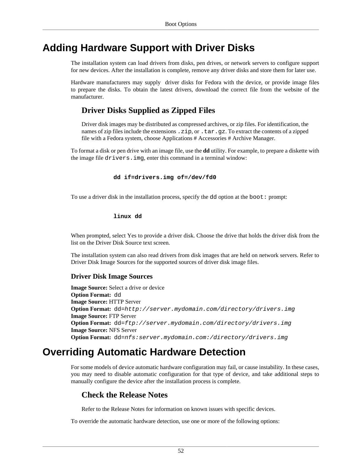### <span id="page-58-0"></span>**Adding Hardware Support with Driver Disks**

The installation system can load drivers from disks, pen drives, or network servers to configure support for new devices. After the installation is complete, remove any driver disks and store them for later use.

Hardware manufacturers may supply driver disks for Fedora with the device, or provide image files to prepare the disks. To obtain the latest drivers, download the correct file from the website of the manufacturer.

#### <span id="page-58-3"></span>**Driver Disks Supplied as Zipped Files**

Driver disk images may be distributed as compressed archives, or zip files. For identification, the names of zip files include the extensions . zip, or . tar.gz. To extract the contents of a zipped file with a Fedora system, choose Applications # Accessories # Archive Manager.

To format a disk or pen drive with an image file, use the **dd** utility. For example, to prepare a diskette with the image file drivers.img, enter this command in a terminal window:

#### **dd if=drivers.img of=/dev/fd0**

To use a driver disk in the installation process, specify the dd option at the boot: prompt:

#### **linux dd**

When prompted, select Yes to provide a driver disk. Choose the drive that holds the driver disk from the list on the Driver Disk Source text screen.

The installation system can also read drivers from disk images that are held on network servers. Refer to [Driver Disk Image Sources](#page-58-2) for the supported sources of driver disk image files.

#### <span id="page-58-2"></span>**Driver Disk Image Sources**

**Image Source:** Select a drive or device **Option Format:** dd **Image Source:** HTTP Server **Option Format:** dd=http://server.mydomain.com/directory/drivers.img **Image Source:** FTP Server **Option Format:** dd=ftp://server.mydomain.com/directory/drivers.img **Image Source:** NFS Server **Option Format:** dd=nfs:server.mydomain.com:/directory/drivers.img

### <span id="page-58-1"></span>**Overriding Automatic Hardware Detection**

For some models of device automatic hardware configuration may fail, or cause instability. In these cases, you may need to disable automatic configuration for that type of device, and take additional steps to manually configure the device after the installation process is complete.

#### **Check the Release Notes**

Refer to the Release Notes for information on known issues with specific devices.

To override the automatic hardware detection, use one or more of the following options: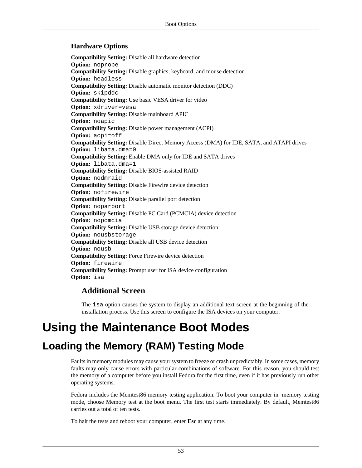#### **Hardware Options**

**Compatibility Setting:** Disable all hardware detection **Option:** noprobe **Compatibility Setting:** Disable graphics, keyboard, and mouse detection **Option:** headless **Compatibility Setting:** Disable automatic monitor detection (DDC) **Option:** skipddc **Compatibility Setting:** Use basic VESA driver for video **Option:** xdriver=vesa **Compatibility Setting:** Disable mainboard APIC **Option:** noapic **Compatibility Setting:** Disable power management (ACPI) **Option:** acpi=off **Compatibility Setting:** Disable Direct Memory Access (DMA) for IDE, SATA, and ATAPI drives **Option:** libata.dma=0 **Compatibility Setting:** Enable DMA only for IDE and SATA drives **Option:** libata.dma=1 **Compatibility Setting:** Disable BIOS-assisted RAID **Option:** nodmraid **Compatibility Setting:** Disable Firewire device detection **Option:** nofirewire **Compatibility Setting:** Disable parallel port detection **Option:** noparport **Compatibility Setting:** Disable PC Card (PCMCIA) device detection **Option:** nopcmcia **Compatibility Setting:** Disable USB storage device detection **Option:** nousbstorage **Compatibility Setting:** Disable all USB device detection **Option:** nousb **Compatibility Setting:** Force Firewire device detection **Option:** firewire **Compatibility Setting:** Prompt user for ISA device configuration **Option:** isa

#### **Additional Screen**

The isa option causes the system to display an additional text screen at the beginning of the installation process. Use this screen to configure the ISA devices on your computer.

# <span id="page-59-0"></span>**Using the Maintenance Boot Modes**

## <span id="page-59-1"></span>**Loading the Memory (RAM) Testing Mode**

Faults in memory modules may cause your system to freeze or crash unpredictably. In some cases, memory faults may only cause errors with particular combinations of software. For this reason, you should test the memory of a computer before you install Fedora for the first time, even if it has previously run other operating systems.

<span id="page-59-2"></span>Fedora includes the Memtest86 memory testing application. To boot your computer in memory testing mode, choose Memory test at the boot menu. The first test starts immediately. By default, Memtest86 carries out a total of ten tests.

To halt the tests and reboot your computer, enter **Esc** at any time.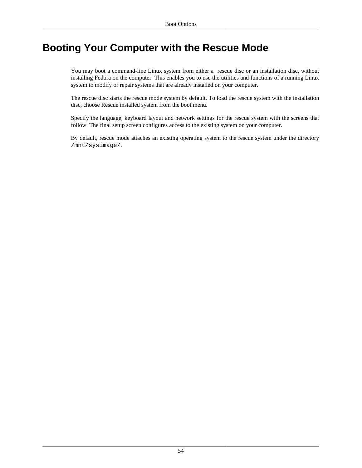## <span id="page-60-0"></span>**Booting Your Computer with the Rescue Mode**

<span id="page-60-2"></span><span id="page-60-1"></span>You may boot a command-line Linux system from either a rescue disc or an installation disc, without installing Fedora on the computer. This enables you to use the utilities and functions of a running Linux system to modify or repair systems that are already installed on your computer.

The rescue disc starts the rescue mode system by default. To load the rescue system with the installation disc, choose Rescue installed system from the boot menu.

Specify the language, keyboard layout and network settings for the rescue system with the screens that follow. The final setup screen configures access to the existing system on your computer.

By default, rescue mode attaches an existing operating system to the rescue system under the directory /mnt/sysimage/.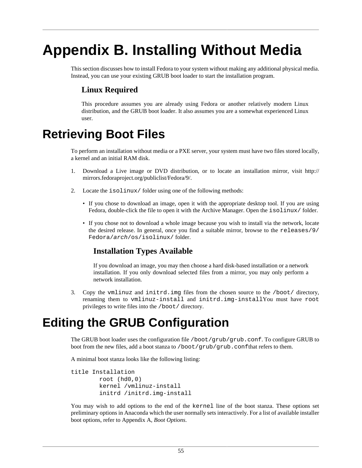# <span id="page-61-0"></span>**Appendix B. Installing Without Media**

This section discusses how to install Fedora to your system without making any additional physical media. Instead, you can use your existing GRUB boot loader to start the installation program.

#### **Linux Required**

This procedure assumes you are already using Fedora or another relatively modern Linux distribution, and the GRUB boot loader. It also assumes you are a somewhat experienced Linux user.

## <span id="page-61-1"></span>**Retrieving Boot Files**

To perform an installation without media or a PXE server, your system must have two files stored locally, a kernel and an initial RAM disk.

- 1. Download a Live image or DVD distribution, or to locate an installation mirror, visit [http://](http://mirrors.fedoraproject.org/publiclist/Fedora/9/) [mirrors.fedoraproject.org/publiclist/Fedora/9/](http://mirrors.fedoraproject.org/publiclist/Fedora/9/).
- 2. Locate the isolinux/ folder using one of the following methods:
	- If you chose to download an image, open it with the appropriate desktop tool. If you are using Fedora, double-click the file to open it with the Archive Manager. Open the isolinux/ folder.
	- If you chose not to download a whole image because you wish to install via the network, locate the desired release. In general, once you find a suitable mirror, browse to the releases/9/ Fedora/arch/os/isolinux/ folder.

#### **Installation Types Available**

If you download an image, you may then choose a hard disk-based installation or a network installation. If you only download selected files from a mirror, you may only perform a network installation.

3. Copy the vmlinuz and initrd.img files from the chosen source to the /boot/ directory, renaming them to vmlinuz-install and initrd.img-installYou must have root privileges to write files into the /boot/ directory.

# <span id="page-61-2"></span>**Editing the GRUB Configuration**

The GRUB boot loader uses the configuration file /boot/grub/grub.conf. To configure GRUB to boot from the new files, add a boot stanza to /boot/grub/grub.confthat refers to them.

A minimal boot stanza looks like the following listing:

```
title Installation
         root (hd0,0)
         kernel /vmlinuz-install
         initrd /initrd.img-install
```
You may wish to add options to the end of the kernel line of the boot stanza. These options set preliminary options in Anaconda which the user normally sets interactively. For a list of available installer boot options, refer to [Appendix A,](#page-52-0) *Boot Options*.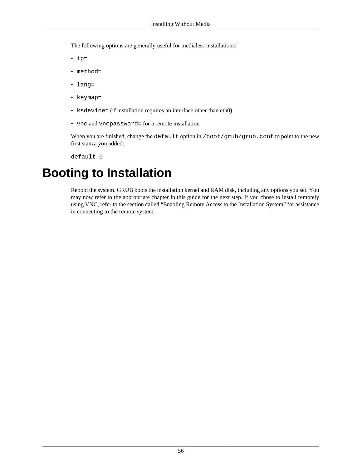The following options are generally useful for medialess installations:

- ip=
- method=
- lang=
- keymap=
- ksdevice= (if installation requires an interface other than eth0)
- vnc and vncpassword= for a remote installation

When you are finished, change the default option in /boot/grub/grub.conf to point to the new first stanza you added:

default 0

# <span id="page-62-0"></span>**Booting to Installation**

Reboot the system. GRUB boots the installation kernel and RAM disk, including any options you set. You may now refer to the appropriate chapter in this guide for the next step. If you chose to install remotely using VNC, refer to [the section called "Enabling Remote Access to the Installation System"](#page-54-0) for assistance in connecting to the remote system.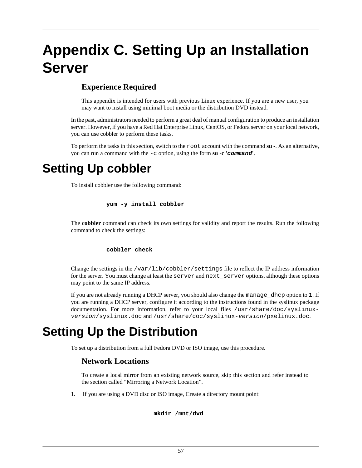# <span id="page-63-0"></span>**Appendix C. Setting Up an Installation Server**

#### **Experience Required**

This appendix is intended for users with previous Linux experience. If you are a new user, you may want to install using minimal boot media or the distribution DVD instead.

In the past, administrators needed to perform a great deal of manual configuration to produce an installation server. However, if you have a Red Hat Enterprise Linux, CentOS, or Fedora server on your local network, you can use cobbler to perform these tasks.

To perform the tasks in this section, switch to the root account with the command **su -**. As an alternative, you can run a command with the -c option, using the form **su -c 'command'**.

## <span id="page-63-1"></span>**Setting Up cobbler**

To install cobbler use the following command:

```
 yum -y install cobbler
```
The **cobbler** command can check its own settings for validity and report the results. Run the following command to check the settings:

#### **cobbler check**

Change the settings in the /var/lib/cobbler/settings file to reflect the IP address information for the server. You must change at least the server and next\_server options, although these options may point to the same IP address.

If you are not already running a DHCP server, you should also change the manage\_dhcp option to **1**. If you are running a DHCP server, configure it according to the instructions found in the syslinux package documentation. For more information, refer to your local files /usr/share/doc/syslinuxversion/syslinux.doc and /usr/share/doc/syslinux-version/pxelinux.doc.

## <span id="page-63-2"></span>**Setting Up the Distribution**

To set up a distribution from a full Fedora DVD or ISO image, use this procedure.

#### **Network Locations**

To create a local mirror from an existing network source, skip this section and refer instead to [the section called "Mirroring a Network Location".](#page-64-0)

1. If you are using a DVD disc or ISO image, Create a directory mount point:

**mkdir /mnt/dvd**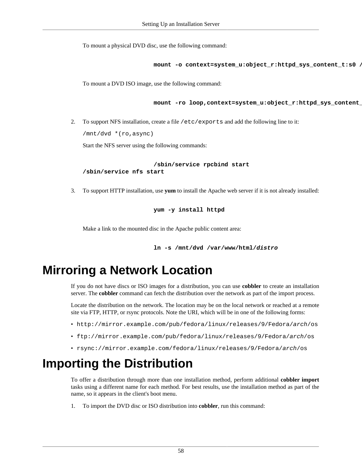To mount a physical DVD disc, use the following command:

mount -o context=system\_u:object\_r:httpd\_sys\_content\_t:s0 /

To mount a DVD ISO image, use the following command:

mount -ro loop, context=system\_u:object\_r:httpd\_sys\_content\_

2. To support NFS installation, create a file /etc/exports and add the following line to it:

/mnt/dvd \*(ro,async)

Start the NFS server using the following commands:

 **/sbin/service rpcbind start /sbin/service nfs start**

3. To support HTTP installation, use **yum** to install the Apache web server if it is not already installed:

```
 yum -y install httpd
```
Make a link to the mounted disc in the Apache public content area:

**ln -s /mnt/dvd /var/www/html/distro**

## <span id="page-64-0"></span>**Mirroring a Network Location**

If you do not have discs or ISO images for a distribution, you can use **cobbler** to create an installation server. The **cobbler** command can fetch the distribution over the network as part of the import process.

Locate the distribution on the network. The location may be on the local network or reached at a remote site via FTP, HTTP, or rsync protocols. Note the URI, which will be in one of the following forms:

- http://mirror.example.com/pub/fedora/linux/releases/9/Fedora/arch/os
- ftp://mirror.example.com/pub/fedora/linux/releases/9/Fedora/arch/os
- rsync://mirror.example.com/fedora/linux/releases/9/Fedora/arch/os

## <span id="page-64-1"></span>**Importing the Distribution**

To offer a distribution through more than one installation method, perform additional **cobbler import** tasks using a different name for each method. For best results, use the installation method as part of the name, so it appears in the client's boot menu.

1. To import the DVD disc or ISO distribution into **cobbler**, run this command: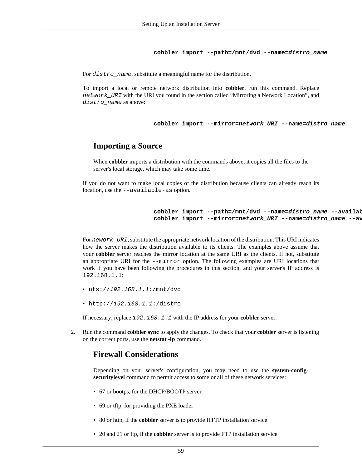**cobbler import --path=/mnt/dvd --name=distro\_name**

For distro\_name, substitute a meaningful name for the distribution.

To import a local or remote network distribution into **cobbler**, run this command. Replace network URI with the URI you found in [the section called "Mirroring a Network Location"](#page-64-0), and distro name as above:

```
 cobbler import --mirror=network_URI --name=distro_name
```
#### **Importing a Source**

When **cobbler** imports a distribution with the commands above, it copies all the files to the server's local storage, which may take some time.

If you do not want to make local copies of the distribution because clients can already reach its location, use the --available-as option.

```
 cobbler import --path=/mnt/dvd --name=distro_name --available-as=network_URI
cobbler import --mirror=network_URI --name=distro_name --available-as=network_URI
```
For nework\_URI, substitute the appropriate network location of the distribution. This URI indicates how the server makes the distribution available to its clients. The examples above assume that your **cobbler** server reaches the mirror location at the same URI as the clients. If not, substitute an appropriate URI for the --mirror option. The following examples are URI locations that work if you have been following the procedures in this section, and your server's IP address is 192.168.1.1:

- nfs://192.168.1.1:/mnt/dvd
- http://192.168.1.1:/distro

If necessary, replace 192.168.1.1 with the IP address for your **cobbler** server.

2. Run the command **cobbler sync** to apply the changes. To check that your **cobbler** server is listening on the correct ports, use the **netstat -lp** command.

#### **Firewall Considerations**

Depending on your server's configuration, you may need to use the **system-configsecuritylevel** command to permit access to some or all of these network services:

- 67 or bootps, for the DHCP/BOOTP server
- 69 or tftp, for providing the PXE loader
- 80 or http, if the **cobbler** server is to provide HTTP installation service
- 20 and 21 or ftp, if the **cobbler** server is to provide FTP installation service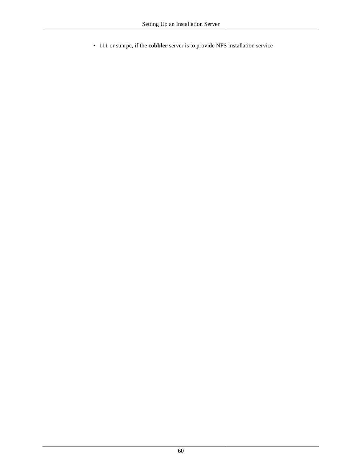• 111 or sunrpc, if the **cobbler** server is to provide NFS installation service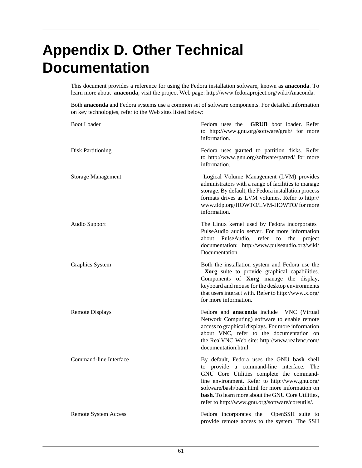# <span id="page-67-0"></span>**Appendix D. Other Technical Documentation**

<span id="page-67-1"></span>This document provides a reference for using the Fedora installation software, known as **anaconda**. To learn more about **anaconda**, visit the project Web page:<http://www.fedoraproject.org/wiki/Anaconda>.

<span id="page-67-2"></span>Both **anaconda** and Fedora systems use a common set of software components. For detailed information on key technologies, refer to the Web sites listed below:

<span id="page-67-7"></span><span id="page-67-6"></span><span id="page-67-5"></span><span id="page-67-4"></span><span id="page-67-3"></span>

| <b>Boot Loader</b>          | Fedora uses the<br>GRUB boot loader. Refer<br>to http://www.gnu.org/software/grub/ for more<br>information.                                                                                                                                                                                                                                         |
|-----------------------------|-----------------------------------------------------------------------------------------------------------------------------------------------------------------------------------------------------------------------------------------------------------------------------------------------------------------------------------------------------|
| <b>Disk Partitioning</b>    | Fedora uses parted to partition disks. Refer<br>to http://www.gnu.org/software/parted/ for more<br>information.                                                                                                                                                                                                                                     |
| <b>Storage Management</b>   | Logical Volume Management (LVM) provides<br>administrators with a range of facilities to manage<br>storage. By default, the Fedora installation process<br>formats drives as LVM volumes. Refer to http://<br>www.tldp.org/HOWTO/LVM-HOWTO/for more<br>information.                                                                                 |
| <b>Audio Support</b>        | The Linux kernel used by Fedora incorporates<br>PulseAudio audio server. For more information<br>refer<br>PulseAudio,<br>the<br>project<br>about<br>to<br>documentation: http://www.pulseaudio.org/wiki/<br>Documentation.                                                                                                                          |
| Graphics System             | Both the installation system and Fedora use the<br>Xorg suite to provide graphical capabilities.<br>Components of Xorg manage the display,<br>keyboard and mouse for the desktop environments<br>that users interact with. Refer to http://www.x.org/<br>for more information.                                                                      |
| <b>Remote Displays</b>      | Fedora and <b>anaconda</b> include<br>VNC (Virtual<br>Network Computing) software to enable remote<br>access to graphical displays. For more information<br>about VNC, refer to the documentation on<br>the RealVNC Web site: http://www.realvnc.com/<br>documentation.html.                                                                        |
| Command-line Interface      | By default, Fedora uses the GNU bash shell<br>to provide a command-line interface.<br>The<br>GNU Core Utilities complete the command-<br>line environment. Refer to http://www.gnu.org/<br>software/bash/bash.html for more information on<br>bash. To learn more about the GNU Core Utilities,<br>refer to http://www.gnu.org/software/coreutils/. |
| <b>Remote System Access</b> | Fedora incorporates the<br>OpenSSH suite to<br>provide remote access to the system. The SSH                                                                                                                                                                                                                                                         |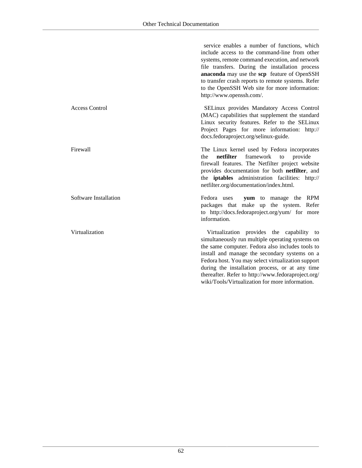<span id="page-68-5"></span><span id="page-68-4"></span><span id="page-68-3"></span><span id="page-68-2"></span><span id="page-68-1"></span><span id="page-68-0"></span>

|                       | service enables a number of functions, which<br>include access to the command-line from other<br>systems, remote command execution, and network<br>file transfers. During the installation process<br>anaconda may use the scp feature of OpenSSH<br>to transfer crash reports to remote systems. Refer<br>to the OpenSSH Web site for more information:<br>http://www.openssh.com/.                                 |
|-----------------------|----------------------------------------------------------------------------------------------------------------------------------------------------------------------------------------------------------------------------------------------------------------------------------------------------------------------------------------------------------------------------------------------------------------------|
| <b>Access Control</b> | SELinux provides Mandatory Access Control<br>(MAC) capabilities that supplement the standard<br>Linux security features. Refer to the SELinux<br>Project Pages for more information: http://<br>docs.fedoraproject.org/selinux-guide.                                                                                                                                                                                |
| Firewall              | The Linux kernel used by Fedora incorporates<br>netfilter<br>framework<br>the<br>to<br>provide<br>firewall features. The Netfilter project website<br>provides documentation for both netfilter, and<br>the <b>iptables</b> administration facilities: http://<br>netfilter.org/documentation/index.html.                                                                                                            |
| Software Installation | <b>RPM</b><br>Fedora uses<br><b>yum</b> to manage the<br>packages that make up the system.<br>Refer<br>to http://docs.fedoraproject.org/yum/ for more<br>information.                                                                                                                                                                                                                                                |
| Virtualization        | Virtualization provides the capability to<br>simultaneously run multiple operating systems on<br>the same computer. Fedora also includes tools to<br>install and manage the secondary systems on a<br>Fedora host. You may select virtualization support<br>during the installation process, or at any time<br>thereafter. Refer to http://www.fedoraproject.org/<br>wiki/Tools/Virtualization for more information. |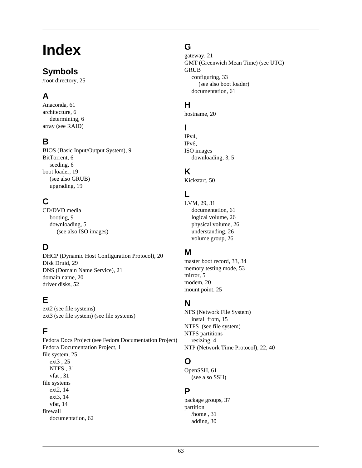# <span id="page-69-0"></span>**Index**

### **Symbols**

/root directory, [25](#page-31-2)

## **A**

Anaconda, [61](#page-67-1) architecture, [6](#page-12-2) determining, [6](#page-12-3) array (see RAID)

### **B**

BIOS (Basic Input/Output System), [9](#page-15-2) BitTorrent, [6](#page-12-4) seeding, [6](#page-12-5) boot loader, [19](#page-25-1) (see also GRUB) upgrading, [19](#page-25-2)

### **C**

CD/DVD media booting, [9](#page-15-3) downloading, [5](#page-11-3) (see also ISO images)

## **D**

DHCP (Dynamic Host Configuration Protocol), [20](#page-26-3) Disk Druid, [29](#page-35-1) DNS (Domain Name Service), [21](#page-27-0) domain name, [20](#page-26-4) driver disks, [52](#page-58-3)

### **E**

ext2 (see file systems) ext3 (see file system) (see file systems)

### **F**

Fedora Docs Project (see Fedora Documentation Project) Fedora Documentation Project, [1](#page-7-8) file system, [25](#page-31-3) ext3 , [25](#page-31-4) NTFS , [31](#page-37-0) vfat , [31](#page-37-1) file systems ext2, [14](#page-20-3) ext3, [14](#page-20-4) vfat, [14](#page-20-5) firewall documentation, [62](#page-68-0)

### **G**

gateway, [21](#page-27-1) GMT (Greenwich Mean Time) (see UTC) GRUB configuring, [33](#page-39-4) (see also boot loader) documentation, [61](#page-67-2)

#### **H**

hostname, [20](#page-26-5)

## **I**

IPv4, IPv6, ISO images downloading, [3](#page-9-3), [5](#page-11-4)

### **K**

Kickstart, [50](#page-56-3)

## **L**

LVM, [29](#page-35-2), [31](#page-37-2) documentation, [61](#page-67-3) logical volume, [26](#page-32-2) physical volume, [26](#page-32-3) understanding, [26](#page-32-4) volume group, [26](#page-32-5)

#### **M**

master boot record, [33,](#page-39-5) [34](#page-40-2) memory testing mode, [53](#page-59-2) mirror, [5](#page-11-5) modem, [20](#page-26-6) mount point, [25](#page-31-5)

#### **N**

NFS (Network File System) install from, [15](#page-21-2) NTFS (see file system) NTFS partitions resizing, [4](#page-10-3) NTP (Network Time Protocol), [22](#page-28-3), [40](#page-46-4)

## **O**

OpenSSH, [61](#page-67-4) (see also SSH)

#### **P**

package groups, [37](#page-43-4) partition /home , [31](#page-37-3) adding, [30](#page-36-1)